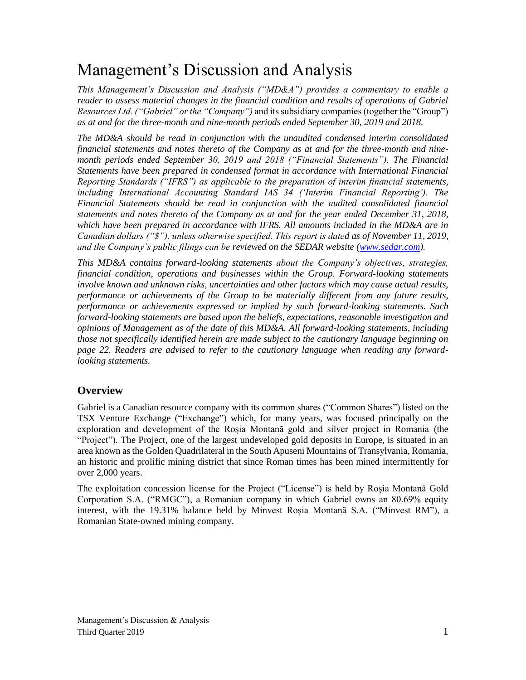# Management's Discussion and Analysis

*This Management's Discussion and Analysis ("MD&A") provides a commentary to enable a reader to assess material changes in the financial condition and results of operations of Gabriel Resources Ltd. ("Gabriel" or the "Company")* and its subsidiary companies (together the "Group") *as at and for the three-month and nine-month periods ended September 30, 2019 and 2018.*

*The MD&A should be read in conjunction with the unaudited condensed interim consolidated financial statements and notes thereto of the Company as at and for the three-month and ninemonth periods ended September 30, 2019 and 2018 ("Financial Statements"). The Financial Statements have been prepared in condensed format in accordance with International Financial Reporting Standards ("IFRS") as applicable to the preparation of interim financial statements, including International Accounting Standard IAS 34 ('Interim Financial Reporting'). The Financial Statements should be read in conjunction with the audited consolidated financial statements and notes thereto of the Company as at and for the year ended December 31, 2018, which have been prepared in accordance with IFRS. All amounts included in the MD&A are in Canadian dollars ("\$"), unless otherwise specified. This report is dated as of November 11, 2019, and the Company's public filings can be reviewed on the SEDAR website [\(www.sedar.com\)](http://www.sedar.com/).* 

*This MD&A contains forward-looking statements about the Company's objectives, strategies, financial condition, operations and businesses within the Group. Forward-looking statements involve known and unknown risks, uncertainties and other factors which may cause actual results, performance or achievements of the Group to be materially different from any future results, performance or achievements expressed or implied by such forward-looking statements. Such forward-looking statements are based upon the beliefs, expectations, reasonable investigation and opinions of Management as of the date of this MD&A. All forward-looking statements, including those not specifically identified herein are made subject to the cautionary language beginning on page 22. Readers are advised to refer to the cautionary language when reading any forwardlooking statements.*

# **Overview**

Gabriel is a Canadian resource company with its common shares ("Common Shares") listed on the TSX Venture Exchange ("Exchange") which, for many years, was focused principally on the exploration and development of the Roșia Montană gold and silver project in Romania (the "Project"). The Project, one of the largest undeveloped gold deposits in Europe, is situated in an area known as the Golden Quadrilateral in the South Apuseni Mountains of Transylvania, Romania, an historic and prolific mining district that since Roman times has been mined intermittently for over 2,000 years.

The exploitation concession license for the Project ("License") is held by Roșia Montană Gold Corporation S.A. ("RMGC"), a Romanian company in which Gabriel owns an 80.69% equity interest, with the 19.31% balance held by Minvest Roșia Montană S.A. ("Minvest RM"), a Romanian State-owned mining company.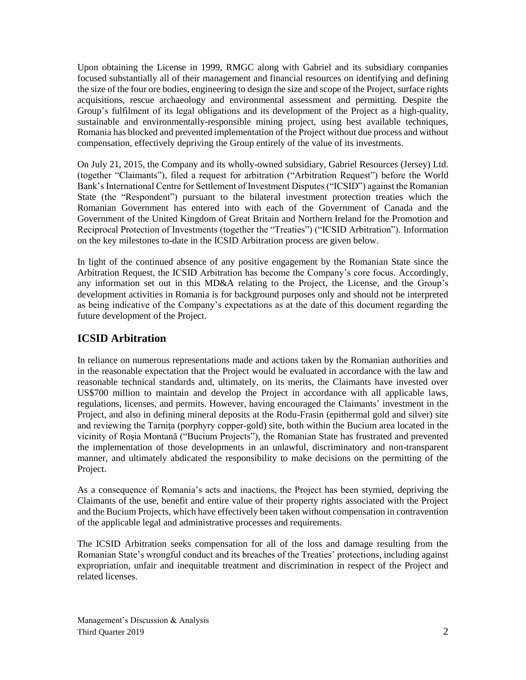Upon obtaining the License in 1999, RMGC along with Gabriel and its subsidiary companies focused substantially all of their management and financial resources on identifying and defining the size of the four ore bodies, engineering to design the size and scope of the Project, surface rights acquisitions, rescue archaeology and environmental assessment and permitting. Despite the Group's fulfilment of its legal obligations and its development of the Project as a high-quality, sustainable and environmentally-responsible mining project, using best available techniques, Romania has blocked and prevented implementation of the Project without due process and without compensation, effectively depriving the Group entirely of the value of its investments.

On July 21, 2015, the Company and its wholly-owned subsidiary, Gabriel Resources (Jersey) Ltd. (together "Claimants"), filed a request for arbitration ("Arbitration Request") before the World Bank's International Centre for Settlement of Investment Disputes ("ICSID") against the Romanian State (the "Respondent") pursuant to the bilateral investment protection treaties which the Romanian Government has entered into with each of the Government of Canada and the Government of the United Kingdom of Great Britain and Northern Ireland for the Promotion and Reciprocal Protection of Investments (together the "Treaties") ("ICSID Arbitration"). Information on the key milestones to-date in the ICSID Arbitration process are given below.

In light of the continued absence of any positive engagement by the Romanian State since the Arbitration Request, the ICSID Arbitration has become the Company's core focus. Accordingly, any information set out in this MD&A relating to the Project, the License, and the Group's development activities in Romania is for background purposes only and should not be interpreted as being indicative of the Company's expectations as at the date of this document regarding the future development of the Project.

# **ICSID Arbitration**

In reliance on numerous representations made and actions taken by the Romanian authorities and in the reasonable expectation that the Project would be evaluated in accordance with the law and reasonable technical standards and, ultimately, on its merits, the Claimants have invested over US\$700 million to maintain and develop the Project in accordance with all applicable laws, regulations, licenses, and permits. However, having encouraged the Claimants' investment in the Project, and also in defining mineral deposits at the Rodu-Frasin (epithermal gold and silver) site and reviewing the Tarniţa (porphyry copper-gold) site, both within the Bucium area located in the vicinity of Roşia Montană ("Bucium Projects"), the Romanian State has frustrated and prevented the implementation of those developments in an unlawful, discriminatory and non-transparent manner, and ultimately abdicated the responsibility to make decisions on the permitting of the Project.

As a consequence of Romania's acts and inactions, the Project has been stymied, depriving the Claimants of the use, benefit and entire value of their property rights associated with the Project and the Bucium Projects, which have effectively been taken without compensation in contravention of the applicable legal and administrative processes and requirements.

The ICSID Arbitration seeks compensation for all of the loss and damage resulting from the Romanian State's wrongful conduct and its breaches of the Treaties' protections, including against expropriation, unfair and inequitable treatment and discrimination in respect of the Project and related licenses.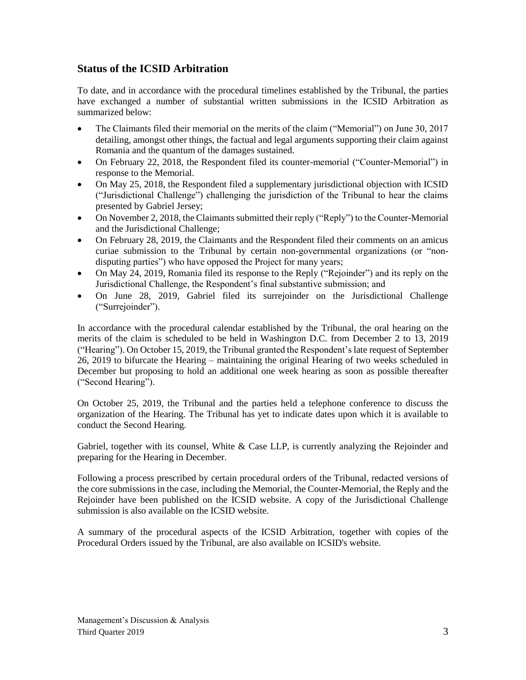# **Status of the ICSID Arbitration**

To date, and in accordance with the procedural timelines established by the Tribunal, the parties have exchanged a number of substantial written submissions in the ICSID Arbitration as summarized below:

- The Claimants filed their memorial on the merits of the claim ("Memorial") on June 30, 2017 detailing, amongst other things, the factual and legal arguments supporting their claim against Romania and the quantum of the damages sustained.
- On February 22, 2018, the Respondent filed its counter-memorial ("Counter-Memorial") in response to the Memorial.
- On May 25, 2018, the Respondent filed a supplementary jurisdictional objection with ICSID ("Jurisdictional Challenge") challenging the jurisdiction of the Tribunal to hear the claims presented by Gabriel Jersey;
- On November 2, 2018, the Claimants submitted their reply ("Reply") to the Counter-Memorial and the Jurisdictional Challenge;
- On February 28, 2019, the Claimants and the Respondent filed their comments on an amicus curiae submission to the Tribunal by certain non-governmental organizations (or "nondisputing parties") who have opposed the Project for many years;
- On May 24, 2019, Romania filed its response to the Reply ("Rejoinder") and its reply on the Jurisdictional Challenge, the Respondent's final substantive submission; and
- On June 28, 2019, Gabriel filed its surrejoinder on the Jurisdictional Challenge ("Surrejoinder").

In accordance with the procedural calendar established by the Tribunal, the oral hearing on the merits of the claim is scheduled to be held in Washington D.C. from December 2 to 13, 2019 ("Hearing"). On October 15, 2019, the Tribunal granted the Respondent's late request of September 26, 2019 to bifurcate the Hearing – maintaining the original Hearing of two weeks scheduled in December but proposing to hold an additional one week hearing as soon as possible thereafter ("Second Hearing").

On October 25, 2019, the Tribunal and the parties held a telephone conference to discuss the organization of the Hearing. The Tribunal has yet to indicate dates upon which it is available to conduct the Second Hearing.

Gabriel, together with its counsel, White & Case LLP, is currently analyzing the Rejoinder and preparing for the Hearing in December.

Following a process prescribed by certain procedural orders of the Tribunal, redacted versions of the core submissions in the case, including the Memorial, the Counter-Memorial, the Reply and the Rejoinder have been published on the ICSID website. A copy of the Jurisdictional Challenge submission is also available on the ICSID website.

A summary of the procedural aspects of the ICSID Arbitration, together with copies of the Procedural Orders issued by the Tribunal, are also available on ICSID's website.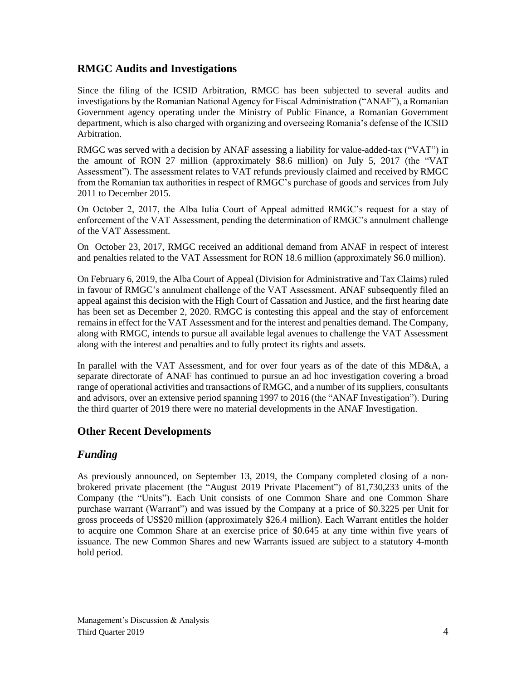# **RMGC Audits and Investigations**

Since the filing of the ICSID Arbitration, RMGC has been subjected to several audits and investigations by the Romanian National Agency for Fiscal Administration ("ANAF"), a Romanian Government agency operating under the Ministry of Public Finance, a Romanian Government department, which is also charged with organizing and overseeing Romania's defense of the ICSID Arbitration.

RMGC was served with a decision by ANAF assessing a liability for value-added-tax ("VAT") in the amount of RON 27 million (approximately \$8.6 million) on July 5, 2017 (the "VAT Assessment"). The assessment relates to VAT refunds previously claimed and received by RMGC from the Romanian tax authorities in respect of RMGC's purchase of goods and services from July 2011 to December 2015.

On October 2, 2017, the Alba Iulia Court of Appeal admitted RMGC's request for a stay of enforcement of the VAT Assessment, pending the determination of RMGC's annulment challenge of the VAT Assessment.

On October 23, 2017, RMGC received an additional demand from ANAF in respect of interest and penalties related to the VAT Assessment for RON 18.6 million (approximately \$6.0 million).

On February 6, 2019, the Alba Court of Appeal (Division for Administrative and Tax Claims) ruled in favour of RMGC's annulment challenge of the VAT Assessment. ANAF subsequently filed an appeal against this decision with the High Court of Cassation and Justice, and the first hearing date has been set as December 2, 2020. RMGC is contesting this appeal and the stay of enforcement remains in effect for the VAT Assessment and for the interest and penalties demand. The Company, along with RMGC, intends to pursue all available legal avenues to challenge the VAT Assessment along with the interest and penalties and to fully protect its rights and assets.

In parallel with the VAT Assessment, and for over four years as of the date of this MD&A, a separate directorate of ANAF has continued to pursue an ad hoc investigation covering a broad range of operational activities and transactions of RMGC, and a number of its suppliers, consultants and advisors, over an extensive period spanning 1997 to 2016 (the "ANAF Investigation"). During the third quarter of 2019 there were no material developments in the ANAF Investigation.

# **Other Recent Developments**

# *Funding*

As previously announced, on September 13, 2019, the Company completed closing of a nonbrokered private placement (the "August 2019 Private Placement") of 81,730,233 units of the Company (the "Units"). Each Unit consists of one Common Share and one Common Share purchase warrant (Warrant") and was issued by the Company at a price of \$0.3225 per Unit for gross proceeds of US\$20 million (approximately \$26.4 million). Each Warrant entitles the holder to acquire one Common Share at an exercise price of \$0.645 at any time within five years of issuance. The new Common Shares and new Warrants issued are subject to a statutory 4-month hold period.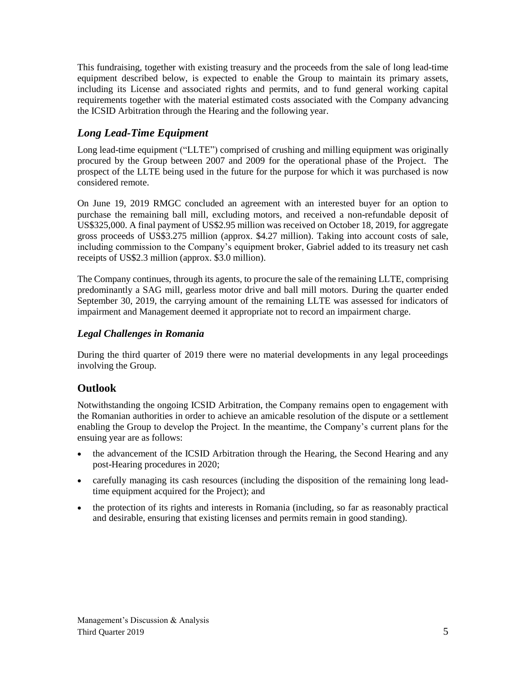This fundraising, together with existing treasury and the proceeds from the sale of long lead-time equipment described below, is expected to enable the Group to maintain its primary assets, including its License and associated rights and permits, and to fund general working capital requirements together with the material estimated costs associated with the Company advancing the ICSID Arbitration through the Hearing and the following year.

# *Long Lead-Time Equipment*

Long lead-time equipment ("LLTE") comprised of crushing and milling equipment was originally procured by the Group between 2007 and 2009 for the operational phase of the Project. The prospect of the LLTE being used in the future for the purpose for which it was purchased is now considered remote.

On June 19, 2019 RMGC concluded an agreement with an interested buyer for an option to purchase the remaining ball mill, excluding motors, and received a non-refundable deposit of US\$325,000. A final payment of US\$2.95 million was received on October 18, 2019, for aggregate gross proceeds of US\$3.275 million (approx. \$4.27 million). Taking into account costs of sale, including commission to the Company's equipment broker, Gabriel added to its treasury net cash receipts of US\$2.3 million (approx. \$3.0 million).

The Company continues, through its agents, to procure the sale of the remaining LLTE, comprising predominantly a SAG mill, gearless motor drive and ball mill motors. During the quarter ended September 30, 2019, the carrying amount of the remaining LLTE was assessed for indicators of impairment and Management deemed it appropriate not to record an impairment charge.

# *Legal Challenges in Romania*

During the third quarter of 2019 there were no material developments in any legal proceedings involving the Group.

# **Outlook**

Notwithstanding the ongoing ICSID Arbitration, the Company remains open to engagement with the Romanian authorities in order to achieve an amicable resolution of the dispute or a settlement enabling the Group to develop the Project. In the meantime, the Company's current plans for the ensuing year are as follows:

- the advancement of the ICSID Arbitration through the Hearing, the Second Hearing and any post-Hearing procedures in 2020;
- carefully managing its cash resources (including the disposition of the remaining long leadtime equipment acquired for the Project); and
- the protection of its rights and interests in Romania (including, so far as reasonably practical and desirable, ensuring that existing licenses and permits remain in good standing).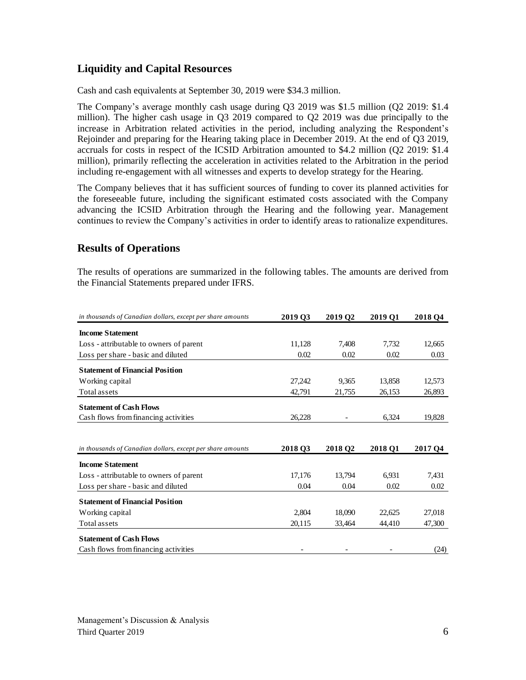# **Liquidity and Capital Resources**

Cash and cash equivalents at September 30, 2019 were \$34.3 million.

The Company's average monthly cash usage during Q3 2019 was \$1.5 million (Q2 2019: \$1.4 million). The higher cash usage in Q3 2019 compared to Q2 2019 was due principally to the increase in Arbitration related activities in the period, including analyzing the Respondent's Rejoinder and preparing for the Hearing taking place in December 2019. At the end of Q3 2019, accruals for costs in respect of the ICSID Arbitration amounted to \$4.2 million (Q2 2019: \$1.4 million), primarily reflecting the acceleration in activities related to the Arbitration in the period including re-engagement with all witnesses and experts to develop strategy for the Hearing.

The Company believes that it has sufficient sources of funding to cover its planned activities for the foreseeable future, including the significant estimated costs associated with the Company advancing the ICSID Arbitration through the Hearing and the following year. Management continues to review the Company's activities in order to identify areas to rationalize expenditures.

# **Results of Operations**

The results of operations are summarized in the following tables. The amounts are derived from the Financial Statements prepared under IFRS.

| in thousands of Canadian dollars, except per share amounts | 2019 Q3 | 2019 Q2 | 2019 Q1 | 2018 Q4 |
|------------------------------------------------------------|---------|---------|---------|---------|
| <b>Income Statement</b>                                    |         |         |         |         |
| Loss - attributable to owners of parent                    | 11,128  | 7.408   | 7,732   | 12,665  |
| Loss per share - basic and diluted                         | 0.02    | 0.02    | 0.02    | 0.03    |
| <b>Statement of Financial Position</b>                     |         |         |         |         |
| Working capital                                            | 27,242  | 9,365   | 13,858  | 12,573  |
| Total assets                                               | 42,791  | 21,755  | 26,153  | 26,893  |
| <b>Statement of Cash Flows</b>                             |         |         |         |         |
| Cash flows from financing activities                       | 26,228  |         | 6,324   | 19,828  |
|                                                            |         |         |         |         |
| in thousands of Canadian dollars, except per share amounts | 2018 Q3 | 2018 Q2 | 2018 Q1 | 2017 Q4 |
| <b>Income Statement</b>                                    |         |         |         |         |
| Loss - attributable to owners of parent                    | 17,176  | 13.794  | 6.931   | 7,431   |
| Loss per share - basic and diluted                         | 0.04    | 0.04    | 0.02    | 0.02    |
| <b>Statement of Financial Position</b>                     |         |         |         |         |
| Working capital                                            | 2,804   | 18,090  | 22.625  | 27,018  |
| Total assets                                               | 20,115  | 33,464  | 44,410  | 47,300  |
| <b>Statement of Cash Flows</b>                             |         |         |         |         |
| Cash flows from financing activities                       |         |         |         | (24)    |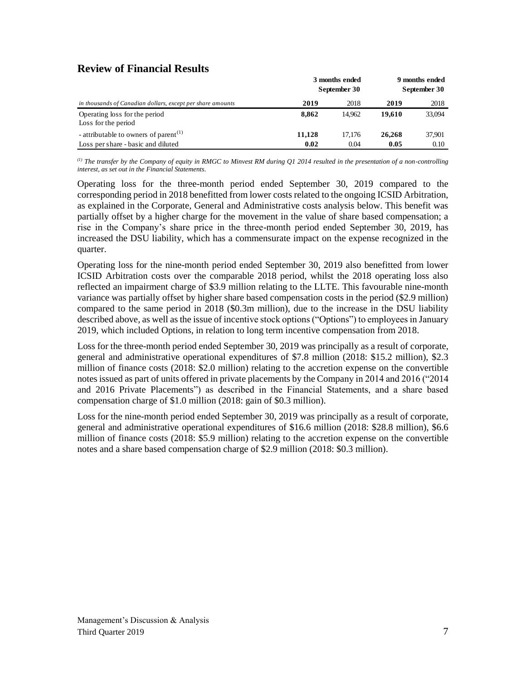# **Review of Financial Results**

|                                                            | 3 months ended<br>September 30 | 9 months ended<br>September 30 |        |        |
|------------------------------------------------------------|--------------------------------|--------------------------------|--------|--------|
| in thousands of Canadian dollars, except per share amounts | 2019                           | 2018                           | 2019   | 2018   |
| Operating loss for the period                              | 8.862                          | 14.962                         | 19.610 | 33,094 |
| Loss for the period                                        |                                |                                |        |        |
| - attributable to owners of parent <sup>(1)</sup>          | 11.128                         | 17.176                         | 26,268 | 37,901 |
| Loss per share - basic and diluted                         | 0.02                           | 0.04                           | 0.05   | 0.10   |

*(1) The transfer by the Company of equity in RMGC to Minvest RM during Q1 2014 resulted in the presentation of a non-controlling interest, as set out in the Financial Statements.*

Operating loss for the three-month period ended September 30, 2019 compared to the corresponding period in 2018 benefitted from lower costs related to the ongoing ICSID Arbitration, as explained in the Corporate, General and Administrative costs analysis below. This benefit was partially offset by a higher charge for the movement in the value of share based compensation; a rise in the Company's share price in the three-month period ended September 30, 2019, has increased the DSU liability, which has a commensurate impact on the expense recognized in the quarter.

Operating loss for the nine-month period ended September 30, 2019 also benefitted from lower ICSID Arbitration costs over the comparable 2018 period, whilst the 2018 operating loss also reflected an impairment charge of \$3.9 million relating to the LLTE. This favourable nine-month variance was partially offset by higher share based compensation costs in the period (\$2.9 million) compared to the same period in 2018 (\$0.3m million), due to the increase in the DSU liability described above, as well as the issue of incentive stock options ("Options") to employees in January 2019, which included Options, in relation to long term incentive compensation from 2018.

Loss for the three-month period ended September 30, 2019 was principally as a result of corporate, general and administrative operational expenditures of \$7.8 million (2018: \$15.2 million), \$2.3 million of finance costs (2018: \$2.0 million) relating to the accretion expense on the convertible notes issued as part of units offered in private placements by the Company in 2014 and 2016 ("2014 and 2016 Private Placements") as described in the Financial Statements, and a share based compensation charge of \$1.0 million (2018: gain of \$0.3 million).

Loss for the nine-month period ended September 30, 2019 was principally as a result of corporate, general and administrative operational expenditures of \$16.6 million (2018: \$28.8 million), \$6.6 million of finance costs (2018: \$5.9 million) relating to the accretion expense on the convertible notes and a share based compensation charge of \$2.9 million (2018: \$0.3 million).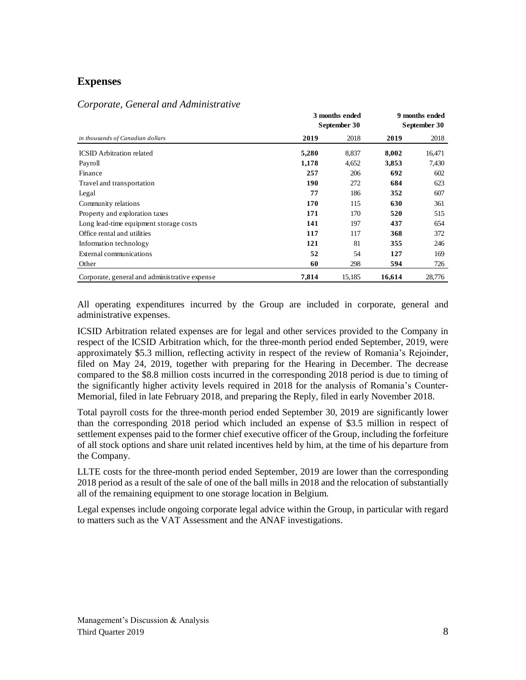# **Expenses**

## *Corporate, General and Administrative*

|                                               |       | 3 months ended<br>September 30 |        |        |
|-----------------------------------------------|-------|--------------------------------|--------|--------|
| in thousands of Canadian dollars              | 2019  | 2018                           | 2019   | 2018   |
| <b>ICSID</b> Arbitration related              | 5,280 | 8,837                          | 8,002  | 16,471 |
| Payroll                                       | 1,178 | 4,652                          | 3,853  | 7,430  |
| Finance                                       | 257   | 206                            | 692    | 602    |
| Travel and transportation                     | 190   | 272                            | 684    | 623    |
| Legal                                         | 77    | 186                            | 352    | 607    |
| Community relations                           | 170   | 115                            | 630    | 361    |
| Property and exploration taxes                | 171   | 170                            | 520    | 515    |
| Long lead-time equipment storage costs        | 141   | 197                            | 437    | 654    |
| Office rental and utilities                   | 117   | 117                            | 368    | 372    |
| Information technology                        | 121   | 81                             | 355    | 246    |
| External communications                       | 52    | 54                             | 127    | 169    |
| Other                                         | 60    | 298                            | 594    | 726    |
| Corporate, general and administrative expense | 7,814 | 15,185                         | 16,614 | 28,776 |

All operating expenditures incurred by the Group are included in corporate, general and administrative expenses.

ICSID Arbitration related expenses are for legal and other services provided to the Company in respect of the ICSID Arbitration which, for the three-month period ended September, 2019, were approximately \$5.3 million, reflecting activity in respect of the review of Romania's Rejoinder, filed on May 24, 2019, together with preparing for the Hearing in December. The decrease compared to the \$8.8 million costs incurred in the corresponding 2018 period is due to timing of the significantly higher activity levels required in 2018 for the analysis of Romania's Counter-Memorial, filed in late February 2018, and preparing the Reply, filed in early November 2018.

Total payroll costs for the three-month period ended September 30, 2019 are significantly lower than the corresponding 2018 period which included an expense of \$3.5 million in respect of settlement expenses paid to the former chief executive officer of the Group, including the forfeiture of all stock options and share unit related incentives held by him, at the time of his departure from the Company.

LLTE costs for the three-month period ended September, 2019 are lower than the corresponding 2018 period as a result of the sale of one of the ball mills in 2018 and the relocation of substantially all of the remaining equipment to one storage location in Belgium.

Legal expenses include ongoing corporate legal advice within the Group, in particular with regard to matters such as the VAT Assessment and the ANAF investigations.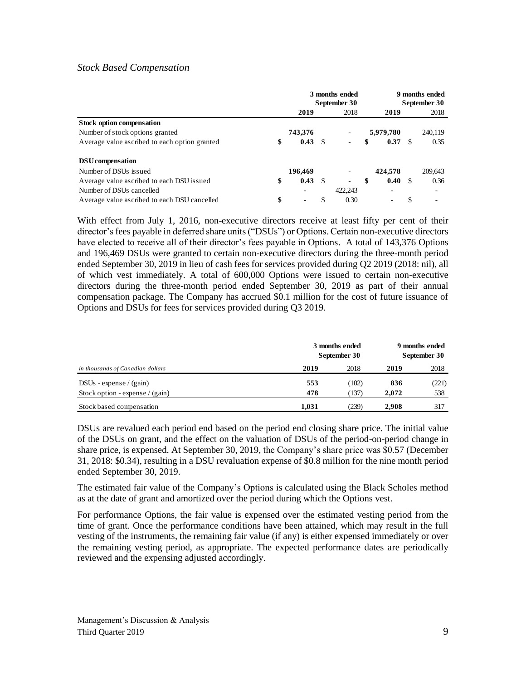### *Stock Based Compensation*

|                                               | 3 months ended<br>September 30 |         | 9 months ended<br>September 30 |                          |    |           |    |                          |
|-----------------------------------------------|--------------------------------|---------|--------------------------------|--------------------------|----|-----------|----|--------------------------|
|                                               |                                | 2019    |                                | 2018                     |    | 2019      |    | 2018                     |
| Stock option compensation                     |                                |         |                                |                          |    |           |    |                          |
| Number of stock options granted               |                                | 743,376 |                                | $\overline{\phantom{0}}$ |    | 5,979,780 |    | 240,119                  |
| Average value ascribed to each option granted | \$                             | 0.43    | - \$                           |                          | \$ | 0.37      | -S | 0.35                     |
| DSU compensation                              |                                |         |                                |                          |    |           |    |                          |
| Number of DSUs issued                         |                                | 196,469 |                                |                          |    | 424,578   |    | 209,643                  |
| Average value ascribed to each DSU issued     | \$                             | 0.43    | - \$                           | ۰                        | \$ | 0.40 S    |    | 0.36                     |
| Number of DSUs cancelled                      |                                | ۰       |                                | 422,243                  |    | ۰         |    | $\overline{\phantom{0}}$ |
| Average value ascribed to each DSU cancelled  | \$                             | -       | \$                             | 0.30                     |    | ٠         | \$ |                          |

With effect from July 1, 2016, non-executive directors receive at least fifty per cent of their director's fees payable in deferred share units ("DSUs") or Options. Certain non-executive directors have elected to receive all of their director's fees payable in Options. A total of 143,376 Options and 196,469 DSUs were granted to certain non-executive directors during the three-month period ended September 30, 2019 in lieu of cash fees for services provided during Q2 2019 (2018: nil), all of which vest immediately. A total of 600,000 Options were issued to certain non-executive directors during the three-month period ended September 30, 2019 as part of their annual compensation package. The Company has accrued \$0.1 million for the cost of future issuance of Options and DSUs for fees for services provided during Q3 2019.

| in thousands of Canadian dollars  |       | 3 months ended<br>September 30 |       |       |
|-----------------------------------|-------|--------------------------------|-------|-------|
|                                   | 2019  | 2018                           | 2019  | 2018  |
| $DSUs - expense / (gain)$         | 553   | (102)                          | 836   | (221) |
| Stock option - expense / $(gain)$ | 478   | (137)                          | 2.072 | 538   |
| Stock based compensation          | 1.031 | (239)                          | 2.908 | 317   |

DSUs are revalued each period end based on the period end closing share price. The initial value of the DSUs on grant, and the effect on the valuation of DSUs of the period-on-period change in share price, is expensed. At September 30, 2019, the Company's share price was \$0.57 (December 31, 2018: \$0.34), resulting in a DSU revaluation expense of \$0.8 million for the nine month period ended September 30, 2019.

The estimated fair value of the Company's Options is calculated using the Black Scholes method as at the date of grant and amortized over the period during which the Options vest.

For performance Options, the fair value is expensed over the estimated vesting period from the time of grant. Once the performance conditions have been attained, which may result in the full vesting of the instruments, the remaining fair value (if any) is either expensed immediately or over the remaining vesting period, as appropriate. The expected performance dates are periodically reviewed and the expensing adjusted accordingly.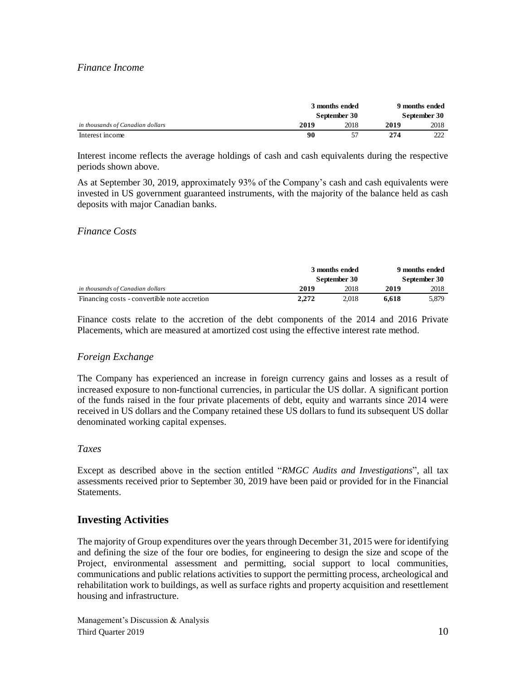## *Finance Income*

|                                  | 3 months ended<br>September 30 |      | 9 months ended<br>September 30 |      |  |
|----------------------------------|--------------------------------|------|--------------------------------|------|--|
| in thousands of Canadian dollars | 2019                           | 2018 | 2019                           | 2018 |  |
| Interest income                  | 90                             | 57   | 274                            | 222  |  |

Interest income reflects the average holdings of cash and cash equivalents during the respective periods shown above.

As at September 30, 2019, approximately 93% of the Company's cash and cash equivalents were invested in US government guaranteed instruments, with the majority of the balance held as cash deposits with major Canadian banks.

#### *Finance Costs*

|                                              | 3 months ended<br>September 30 |       | 9 months ended<br>September 30 |       |
|----------------------------------------------|--------------------------------|-------|--------------------------------|-------|
|                                              |                                |       |                                |       |
| in thousands of Canadian dollars             | 2019                           | 2018  | 2019                           | 2018  |
| Financing costs - convertible note accretion | 2.272                          | 2.018 | 6.618                          | 5.879 |

Finance costs relate to the accretion of the debt components of the 2014 and 2016 Private Placements, which are measured at amortized cost using the effective interest rate method.

## *Foreign Exchange*

The Company has experienced an increase in foreign currency gains and losses as a result of increased exposure to non-functional currencies, in particular the US dollar. A significant portion of the funds raised in the four private placements of debt, equity and warrants since 2014 were received in US dollars and the Company retained these US dollars to fund its subsequent US dollar denominated working capital expenses.

#### *Taxes*

Except as described above in the section entitled "*RMGC Audits and Investigations*", all tax assessments received prior to September 30, 2019 have been paid or provided for in the Financial Statements.

# **Investing Activities**

The majority of Group expenditures over the years through December 31, 2015 were for identifying and defining the size of the four ore bodies, for engineering to design the size and scope of the Project, environmental assessment and permitting, social support to local communities, communications and public relations activities to support the permitting process, archeological and rehabilitation work to buildings, as well as surface rights and property acquisition and resettlement housing and infrastructure.

Management's Discussion & Analysis Third Quarter 2019 10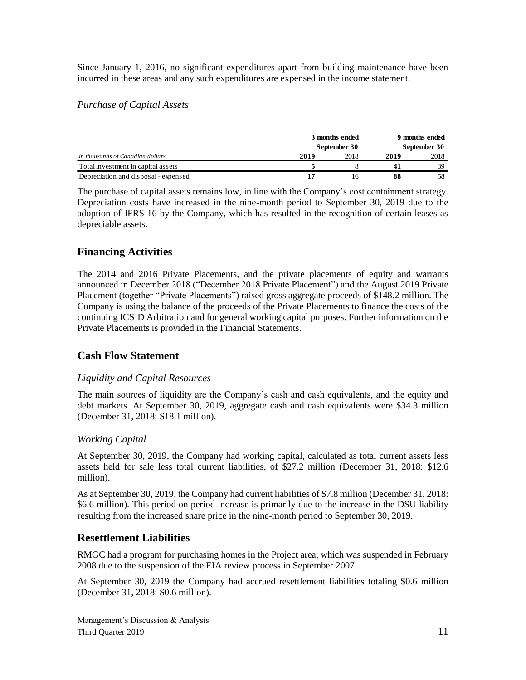Since January 1, 2016, no significant expenditures apart from building maintenance have been incurred in these areas and any such expenditures are expensed in the income statement.

## *Purchase of Capital Assets*

|                                      |      | 3 months ended<br>September 30 |      |      |
|--------------------------------------|------|--------------------------------|------|------|
| in thousands of Canadian dollars     | 2019 | 2018                           | 2019 | 2018 |
| Total investment in capital assets   |      |                                | 41   | 39   |
| Depreciation and disposal - expensed |      | 16                             | 88   | 58   |

The purchase of capital assets remains low, in line with the Company's cost containment strategy. Depreciation costs have increased in the nine-month period to September 30, 2019 due to the adoption of IFRS 16 by the Company, which has resulted in the recognition of certain leases as depreciable assets.

# **Financing Activities**

The 2014 and 2016 Private Placements, and the private placements of equity and warrants announced in December 2018 ("December 2018 Private Placement") and the August 2019 Private Placement (together "Private Placements") raised gross aggregate proceeds of \$148.2 million. The Company is using the balance of the proceeds of the Private Placements to finance the costs of the continuing ICSID Arbitration and for general working capital purposes. Further information on the Private Placements is provided in the Financial Statements.

# **Cash Flow Statement**

## *Liquidity and Capital Resources*

The main sources of liquidity are the Company's cash and cash equivalents, and the equity and debt markets. At September 30, 2019, aggregate cash and cash equivalents were \$34.3 million (December 31, 2018: \$18.1 million).

## *Working Capital*

At September 30, 2019, the Company had working capital, calculated as total current assets less assets held for sale less total current liabilities, of \$27.2 million (December 31, 2018: \$12.6 million).

As at September 30, 2019, the Company had current liabilities of \$7.8 million (December 31, 2018: \$6.6 million). This period on period increase is primarily due to the increase in the DSU liability resulting from the increased share price in the nine-month period to September 30, 2019.

# **Resettlement Liabilities**

RMGC had a program for purchasing homes in the Project area, which was suspended in February 2008 due to the suspension of the EIA review process in September 2007.

At September 30, 2019 the Company had accrued resettlement liabilities totaling \$0.6 million (December 31, 2018: \$0.6 million).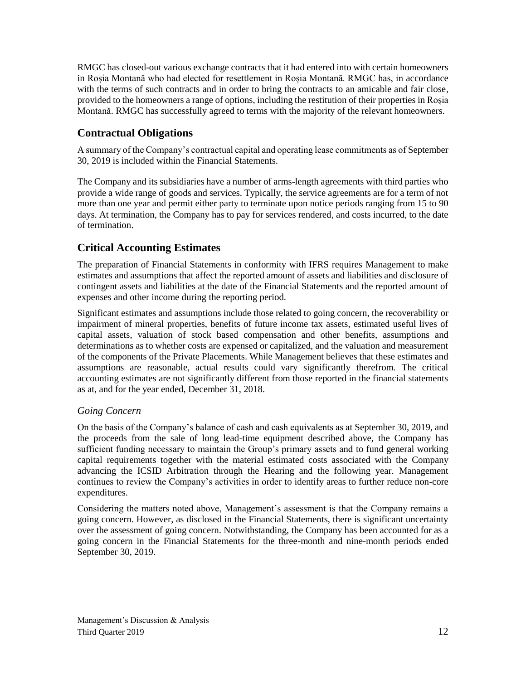RMGC has closed-out various exchange contracts that it had entered into with certain homeowners in Roșia Montană who had elected for resettlement in Roșia Montană. RMGC has, in accordance with the terms of such contracts and in order to bring the contracts to an amicable and fair close, provided to the homeowners a range of options, including the restitution of their properties in Roșia Montană. RMGC has successfully agreed to terms with the majority of the relevant homeowners.

# **Contractual Obligations**

A summary of the Company's contractual capital and operating lease commitments as of September 30, 2019 is included within the Financial Statements.

The Company and its subsidiaries have a number of arms-length agreements with third parties who provide a wide range of goods and services. Typically, the service agreements are for a term of not more than one year and permit either party to terminate upon notice periods ranging from 15 to 90 days. At termination, the Company has to pay for services rendered, and costs incurred, to the date of termination.

# **Critical Accounting Estimates**

The preparation of Financial Statements in conformity with IFRS requires Management to make estimates and assumptions that affect the reported amount of assets and liabilities and disclosure of contingent assets and liabilities at the date of the Financial Statements and the reported amount of expenses and other income during the reporting period.

Significant estimates and assumptions include those related to going concern, the recoverability or impairment of mineral properties, benefits of future income tax assets, estimated useful lives of capital assets, valuation of stock based compensation and other benefits, assumptions and determinations as to whether costs are expensed or capitalized, and the valuation and measurement of the components of the Private Placements. While Management believes that these estimates and assumptions are reasonable, actual results could vary significantly therefrom. The critical accounting estimates are not significantly different from those reported in the financial statements as at, and for the year ended, December 31, 2018.

# *Going Concern*

On the basis of the Company's balance of cash and cash equivalents as at September 30, 2019, and the proceeds from the sale of long lead-time equipment described above, the Company has sufficient funding necessary to maintain the Group's primary assets and to fund general working capital requirements together with the material estimated costs associated with the Company advancing the ICSID Arbitration through the Hearing and the following year. Management continues to review the Company's activities in order to identify areas to further reduce non-core expenditures.

Considering the matters noted above, Management's assessment is that the Company remains a going concern. However, as disclosed in the Financial Statements, there is significant uncertainty over the assessment of going concern. Notwithstanding, the Company has been accounted for as a going concern in the Financial Statements for the three-month and nine-month periods ended September 30, 2019.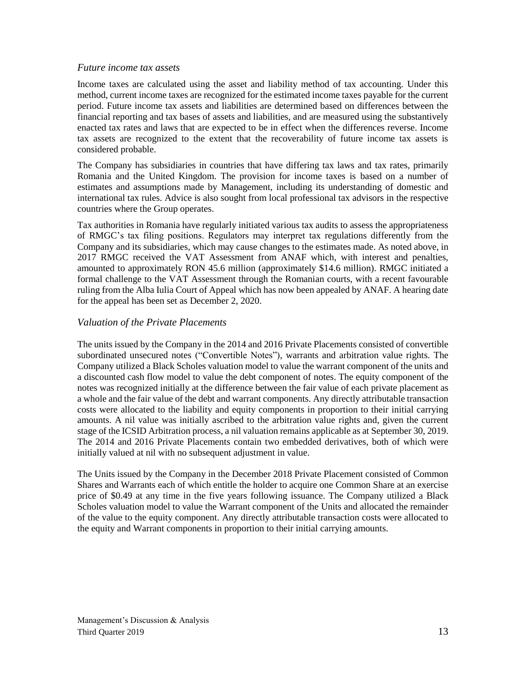#### *Future income tax assets*

Income taxes are calculated using the asset and liability method of tax accounting. Under this method, current income taxes are recognized for the estimated income taxes payable for the current period. Future income tax assets and liabilities are determined based on differences between the financial reporting and tax bases of assets and liabilities, and are measured using the substantively enacted tax rates and laws that are expected to be in effect when the differences reverse. Income tax assets are recognized to the extent that the recoverability of future income tax assets is considered probable.

The Company has subsidiaries in countries that have differing tax laws and tax rates, primarily Romania and the United Kingdom. The provision for income taxes is based on a number of estimates and assumptions made by Management, including its understanding of domestic and international tax rules. Advice is also sought from local professional tax advisors in the respective countries where the Group operates.

Tax authorities in Romania have regularly initiated various tax audits to assess the appropriateness of RMGC's tax filing positions. Regulators may interpret tax regulations differently from the Company and its subsidiaries, which may cause changes to the estimates made. As noted above, in 2017 RMGC received the VAT Assessment from ANAF which, with interest and penalties, amounted to approximately RON 45.6 million (approximately \$14.6 million). RMGC initiated a formal challenge to the VAT Assessment through the Romanian courts, with a recent favourable ruling from the Alba Iulia Court of Appeal which has now been appealed by ANAF. A hearing date for the appeal has been set as December 2, 2020.

## *Valuation of the Private Placements*

The units issued by the Company in the 2014 and 2016 Private Placements consisted of convertible subordinated unsecured notes ("Convertible Notes"), warrants and arbitration value rights. The Company utilized a Black Scholes valuation model to value the warrant component of the units and a discounted cash flow model to value the debt component of notes. The equity component of the notes was recognized initially at the difference between the fair value of each private placement as a whole and the fair value of the debt and warrant components. Any directly attributable transaction costs were allocated to the liability and equity components in proportion to their initial carrying amounts. A nil value was initially ascribed to the arbitration value rights and, given the current stage of the ICSID Arbitration process, a nil valuation remains applicable as at September 30, 2019. The 2014 and 2016 Private Placements contain two embedded derivatives, both of which were initially valued at nil with no subsequent adjustment in value.

The Units issued by the Company in the December 2018 Private Placement consisted of Common Shares and Warrants each of which entitle the holder to acquire one Common Share at an exercise price of \$0.49 at any time in the five years following issuance. The Company utilized a Black Scholes valuation model to value the Warrant component of the Units and allocated the remainder of the value to the equity component. Any directly attributable transaction costs were allocated to the equity and Warrant components in proportion to their initial carrying amounts.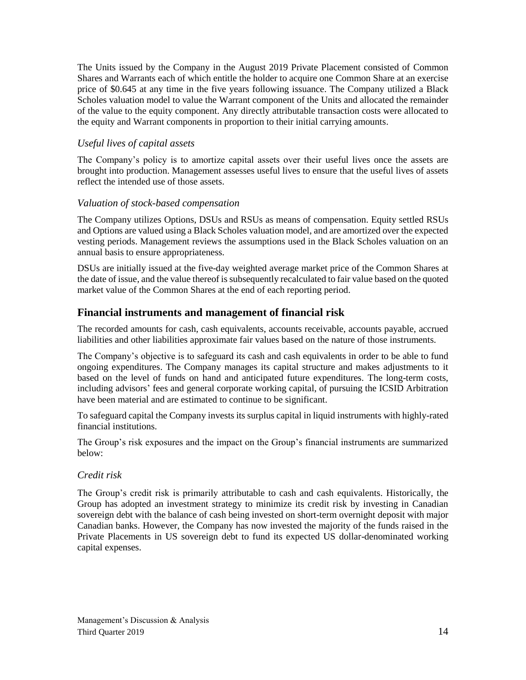The Units issued by the Company in the August 2019 Private Placement consisted of Common Shares and Warrants each of which entitle the holder to acquire one Common Share at an exercise price of \$0.645 at any time in the five years following issuance. The Company utilized a Black Scholes valuation model to value the Warrant component of the Units and allocated the remainder of the value to the equity component. Any directly attributable transaction costs were allocated to the equity and Warrant components in proportion to their initial carrying amounts.

# *Useful lives of capital assets*

The Company's policy is to amortize capital assets over their useful lives once the assets are brought into production. Management assesses useful lives to ensure that the useful lives of assets reflect the intended use of those assets.

## *Valuation of stock-based compensation*

The Company utilizes Options, DSUs and RSUs as means of compensation. Equity settled RSUs and Options are valued using a Black Scholes valuation model, and are amortized over the expected vesting periods. Management reviews the assumptions used in the Black Scholes valuation on an annual basis to ensure appropriateness.

DSUs are initially issued at the five-day weighted average market price of the Common Shares at the date of issue, and the value thereof is subsequently recalculated to fair value based on the quoted market value of the Common Shares at the end of each reporting period.

# **Financial instruments and management of financial risk**

The recorded amounts for cash, cash equivalents, accounts receivable, accounts payable, accrued liabilities and other liabilities approximate fair values based on the nature of those instruments.

The Company's objective is to safeguard its cash and cash equivalents in order to be able to fund ongoing expenditures. The Company manages its capital structure and makes adjustments to it based on the level of funds on hand and anticipated future expenditures. The long-term costs, including advisors' fees and general corporate working capital, of pursuing the ICSID Arbitration have been material and are estimated to continue to be significant.

To safeguard capital the Company invests its surplus capital in liquid instruments with highly-rated financial institutions.

The Group's risk exposures and the impact on the Group's financial instruments are summarized below:

## *Credit risk*

The Group's credit risk is primarily attributable to cash and cash equivalents. Historically, the Group has adopted an investment strategy to minimize its credit risk by investing in Canadian sovereign debt with the balance of cash being invested on short-term overnight deposit with major Canadian banks. However, the Company has now invested the majority of the funds raised in the Private Placements in US sovereign debt to fund its expected US dollar-denominated working capital expenses.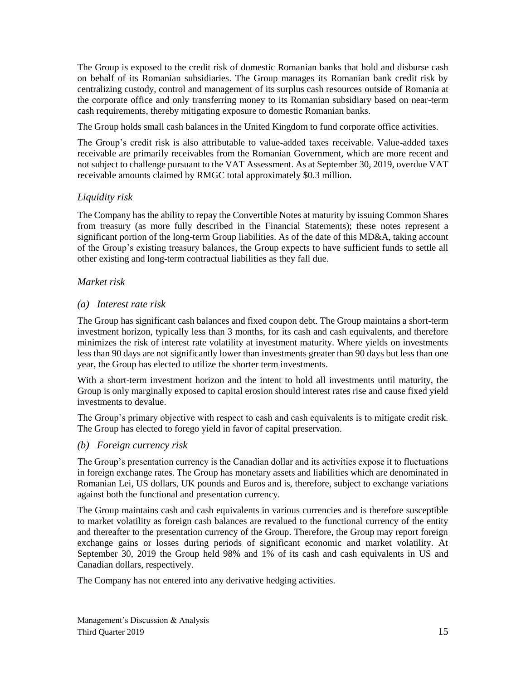The Group is exposed to the credit risk of domestic Romanian banks that hold and disburse cash on behalf of its Romanian subsidiaries. The Group manages its Romanian bank credit risk by centralizing custody, control and management of its surplus cash resources outside of Romania at the corporate office and only transferring money to its Romanian subsidiary based on near-term cash requirements, thereby mitigating exposure to domestic Romanian banks.

The Group holds small cash balances in the United Kingdom to fund corporate office activities.

The Group's credit risk is also attributable to value-added taxes receivable. Value-added taxes receivable are primarily receivables from the Romanian Government, which are more recent and not subject to challenge pursuant to the VAT Assessment. As at September 30, 2019, overdue VAT receivable amounts claimed by RMGC total approximately \$0.3 million.

# *Liquidity risk*

The Company has the ability to repay the Convertible Notes at maturity by issuing Common Shares from treasury (as more fully described in the Financial Statements); these notes represent a significant portion of the long-term Group liabilities. As of the date of this MD&A, taking account of the Group's existing treasury balances, the Group expects to have sufficient funds to settle all other existing and long-term contractual liabilities as they fall due.

## *Market risk*

## *(a) Interest rate risk*

The Group has significant cash balances and fixed coupon debt. The Group maintains a short-term investment horizon, typically less than 3 months, for its cash and cash equivalents, and therefore minimizes the risk of interest rate volatility at investment maturity. Where yields on investments less than 90 days are not significantly lower than investments greater than 90 days but less than one year, the Group has elected to utilize the shorter term investments.

With a short-term investment horizon and the intent to hold all investments until maturity, the Group is only marginally exposed to capital erosion should interest rates rise and cause fixed yield investments to devalue.

The Group's primary objective with respect to cash and cash equivalents is to mitigate credit risk. The Group has elected to forego yield in favor of capital preservation.

## *(b) Foreign currency risk*

The Group's presentation currency is the Canadian dollar and its activities expose it to fluctuations in foreign exchange rates. The Group has monetary assets and liabilities which are denominated in Romanian Lei, US dollars, UK pounds and Euros and is, therefore, subject to exchange variations against both the functional and presentation currency.

The Group maintains cash and cash equivalents in various currencies and is therefore susceptible to market volatility as foreign cash balances are revalued to the functional currency of the entity and thereafter to the presentation currency of the Group. Therefore, the Group may report foreign exchange gains or losses during periods of significant economic and market volatility. At September 30, 2019 the Group held 98% and 1% of its cash and cash equivalents in US and Canadian dollars, respectively.

The Company has not entered into any derivative hedging activities.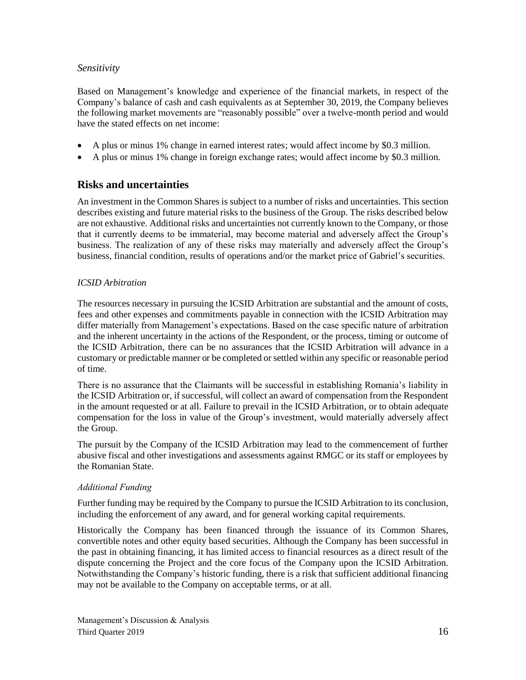## *Sensitivity*

Based on Management's knowledge and experience of the financial markets, in respect of the Company's balance of cash and cash equivalents as at September 30, 2019, the Company believes the following market movements are "reasonably possible" over a twelve-month period and would have the stated effects on net income:

- A plus or minus 1% change in earned interest rates; would affect income by \$0.3 million.
- A plus or minus 1% change in foreign exchange rates; would affect income by \$0.3 million.

# **Risks and uncertainties**

An investment in the Common Shares is subject to a number of risks and uncertainties. This section describes existing and future material risks to the business of the Group. The risks described below are not exhaustive. Additional risks and uncertainties not currently known to the Company, or those that it currently deems to be immaterial, may become material and adversely affect the Group's business. The realization of any of these risks may materially and adversely affect the Group's business, financial condition, results of operations and/or the market price of Gabriel's securities.

### *ICSID Arbitration*

The resources necessary in pursuing the ICSID Arbitration are substantial and the amount of costs, fees and other expenses and commitments payable in connection with the ICSID Arbitration may differ materially from Management's expectations. Based on the case specific nature of arbitration and the inherent uncertainty in the actions of the Respondent, or the process, timing or outcome of the ICSID Arbitration, there can be no assurances that the ICSID Arbitration will advance in a customary or predictable manner or be completed or settled within any specific or reasonable period of time.

There is no assurance that the Claimants will be successful in establishing Romania's liability in the ICSID Arbitration or, if successful, will collect an award of compensation from the Respondent in the amount requested or at all. Failure to prevail in the ICSID Arbitration, or to obtain adequate compensation for the loss in value of the Group's investment, would materially adversely affect the Group.

The pursuit by the Company of the ICSID Arbitration may lead to the commencement of further abusive fiscal and other investigations and assessments against RMGC or its staff or employees by the Romanian State.

#### *Additional Funding*

Further funding may be required by the Company to pursue the ICSID Arbitration to its conclusion, including the enforcement of any award, and for general working capital requirements.

Historically the Company has been financed through the issuance of its Common Shares, convertible notes and other equity based securities. Although the Company has been successful in the past in obtaining financing, it has limited access to financial resources as a direct result of the dispute concerning the Project and the core focus of the Company upon the ICSID Arbitration. Notwithstanding the Company's historic funding, there is a risk that sufficient additional financing may not be available to the Company on acceptable terms, or at all.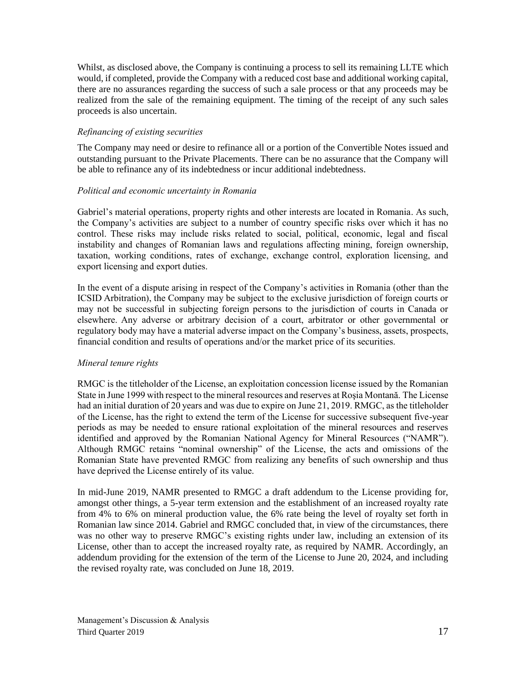Whilst, as disclosed above, the Company is continuing a process to sell its remaining LLTE which would, if completed, provide the Company with a reduced cost base and additional working capital, there are no assurances regarding the success of such a sale process or that any proceeds may be realized from the sale of the remaining equipment. The timing of the receipt of any such sales proceeds is also uncertain.

## *Refinancing of existing securities*

The Company may need or desire to refinance all or a portion of the Convertible Notes issued and outstanding pursuant to the Private Placements. There can be no assurance that the Company will be able to refinance any of its indebtedness or incur additional indebtedness.

### *Political and economic uncertainty in Romania*

Gabriel's material operations, property rights and other interests are located in Romania. As such, the Company's activities are subject to a number of country specific risks over which it has no control. These risks may include risks related to social, political, economic, legal and fiscal instability and changes of Romanian laws and regulations affecting mining, foreign ownership, taxation, working conditions, rates of exchange, exchange control, exploration licensing, and export licensing and export duties.

In the event of a dispute arising in respect of the Company's activities in Romania (other than the ICSID Arbitration), the Company may be subject to the exclusive jurisdiction of foreign courts or may not be successful in subjecting foreign persons to the jurisdiction of courts in Canada or elsewhere. Any adverse or arbitrary decision of a court, arbitrator or other governmental or regulatory body may have a material adverse impact on the Company's business, assets, prospects, financial condition and results of operations and/or the market price of its securities.

#### *Mineral tenure rights*

RMGC is the titleholder of the License, an exploitation concession license issued by the Romanian State in June 1999 with respect to the mineral resources and reserves at Roşia Montană. The License had an initial duration of 20 years and was due to expire on June 21, 2019. RMGC, as the titleholder of the License, has the right to extend the term of the License for successive subsequent five-year periods as may be needed to ensure rational exploitation of the mineral resources and reserves identified and approved by the Romanian National Agency for Mineral Resources ("NAMR"). Although RMGC retains "nominal ownership" of the License, the acts and omissions of the Romanian State have prevented RMGC from realizing any benefits of such ownership and thus have deprived the License entirely of its value.

In mid-June 2019, NAMR presented to RMGC a draft addendum to the License providing for, amongst other things, a 5-year term extension and the establishment of an increased royalty rate from 4% to 6% on mineral production value, the 6% rate being the level of royalty set forth in Romanian law since 2014. Gabriel and RMGC concluded that, in view of the circumstances, there was no other way to preserve RMGC's existing rights under law, including an extension of its License, other than to accept the increased royalty rate, as required by NAMR. Accordingly, an addendum providing for the extension of the term of the License to June 20, 2024, and including the revised royalty rate, was concluded on June 18, 2019.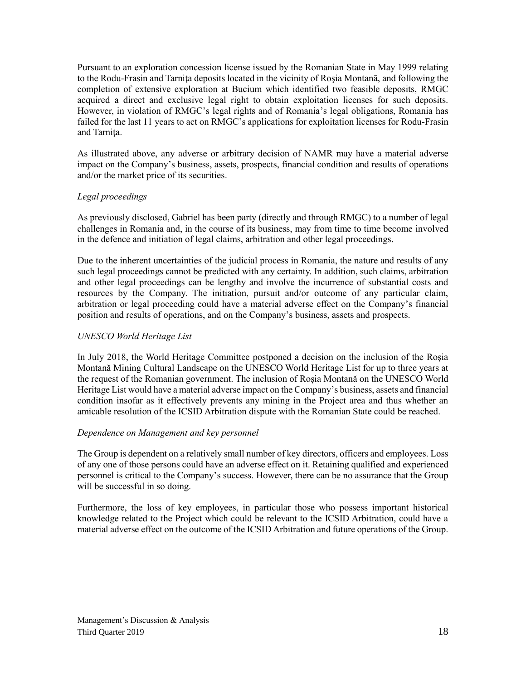Pursuant to an exploration concession license issued by the Romanian State in May 1999 relating to the Rodu-Frasin and Tarniţa deposits located in the vicinity of Roşia Montană, and following the completion of extensive exploration at Bucium which identified two feasible deposits, RMGC acquired a direct and exclusive legal right to obtain exploitation licenses for such deposits. However, in violation of RMGC's legal rights and of Romania's legal obligations, Romania has failed for the last 11 years to act on RMGC's applications for exploitation licenses for Rodu-Frasin and Tarnita.

As illustrated above, any adverse or arbitrary decision of NAMR may have a material adverse impact on the Company's business, assets, prospects, financial condition and results of operations and/or the market price of its securities.

## *Legal proceedings*

As previously disclosed, Gabriel has been party (directly and through RMGC) to a number of legal challenges in Romania and, in the course of its business, may from time to time become involved in the defence and initiation of legal claims, arbitration and other legal proceedings.

Due to the inherent uncertainties of the judicial process in Romania, the nature and results of any such legal proceedings cannot be predicted with any certainty. In addition, such claims, arbitration and other legal proceedings can be lengthy and involve the incurrence of substantial costs and resources by the Company. The initiation, pursuit and/or outcome of any particular claim, arbitration or legal proceeding could have a material adverse effect on the Company's financial position and results of operations, and on the Company's business, assets and prospects.

# *UNESCO World Heritage List*

In July 2018, the World Heritage Committee postponed a decision on the inclusion of the Roșia Montană Mining Cultural Landscape on the UNESCO World Heritage List for up to three years at the request of the Romanian government. The inclusion of Roșia Montană on the UNESCO World Heritage List would have a material adverse impact on the Company's business, assets and financial condition insofar as it effectively prevents any mining in the Project area and thus whether an amicable resolution of the ICSID Arbitration dispute with the Romanian State could be reached.

## *Dependence on Management and key personnel*

The Group is dependent on a relatively small number of key directors, officers and employees. Loss of any one of those persons could have an adverse effect on it. Retaining qualified and experienced personnel is critical to the Company's success. However, there can be no assurance that the Group will be successful in so doing.

Furthermore, the loss of key employees, in particular those who possess important historical knowledge related to the Project which could be relevant to the ICSID Arbitration, could have a material adverse effect on the outcome of the ICSID Arbitration and future operations of the Group.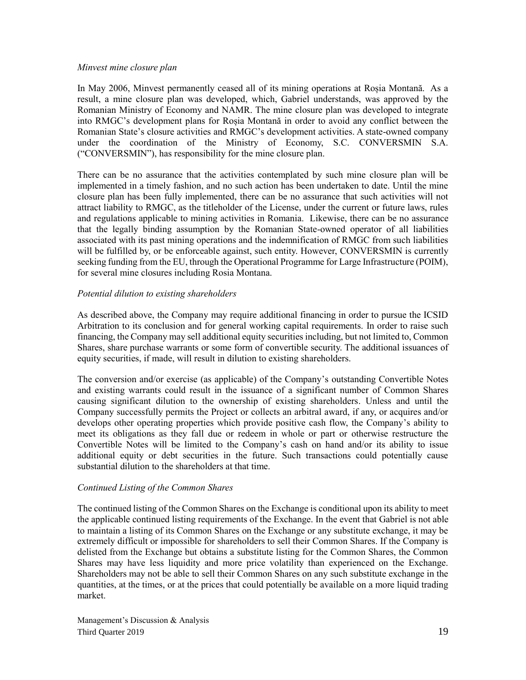#### *Minvest mine closure plan*

In May 2006, Minvest permanently ceased all of its mining operations at Roșia Montană. As a result, a mine closure plan was developed, which, Gabriel understands, was approved by the Romanian Ministry of Economy and NAMR. The mine closure plan was developed to integrate into RMGC's development plans for Roșia Montană in order to avoid any conflict between the Romanian State's closure activities and RMGC's development activities. A state-owned company under the coordination of the Ministry of Economy, S.C. CONVERSMIN S.A. ("CONVERSMIN"), has responsibility for the mine closure plan.

There can be no assurance that the activities contemplated by such mine closure plan will be implemented in a timely fashion, and no such action has been undertaken to date. Until the mine closure plan has been fully implemented, there can be no assurance that such activities will not attract liability to RMGC, as the titleholder of the License, under the current or future laws, rules and regulations applicable to mining activities in Romania. Likewise, there can be no assurance that the legally binding assumption by the Romanian State-owned operator of all liabilities associated with its past mining operations and the indemnification of RMGC from such liabilities will be fulfilled by, or be enforceable against, such entity. However, CONVERSMIN is currently seeking funding from the EU, through the Operational Programme for Large Infrastructure (POIM), for several mine closures including Rosia Montana.

### *Potential dilution to existing shareholders*

As described above, the Company may require additional financing in order to pursue the ICSID Arbitration to its conclusion and for general working capital requirements. In order to raise such financing, the Company may sell additional equity securities including, but not limited to, Common Shares, share purchase warrants or some form of convertible security. The additional issuances of equity securities, if made, will result in dilution to existing shareholders.

The conversion and/or exercise (as applicable) of the Company's outstanding Convertible Notes and existing warrants could result in the issuance of a significant number of Common Shares causing significant dilution to the ownership of existing shareholders. Unless and until the Company successfully permits the Project or collects an arbitral award, if any, or acquires and/or develops other operating properties which provide positive cash flow, the Company's ability to meet its obligations as they fall due or redeem in whole or part or otherwise restructure the Convertible Notes will be limited to the Company's cash on hand and/or its ability to issue additional equity or debt securities in the future. Such transactions could potentially cause substantial dilution to the shareholders at that time.

#### *Continued Listing of the Common Shares*

The continued listing of the Common Shares on the Exchange is conditional upon its ability to meet the applicable continued listing requirements of the Exchange. In the event that Gabriel is not able to maintain a listing of its Common Shares on the Exchange or any substitute exchange, it may be extremely difficult or impossible for shareholders to sell their Common Shares. If the Company is delisted from the Exchange but obtains a substitute listing for the Common Shares, the Common Shares may have less liquidity and more price volatility than experienced on the Exchange. Shareholders may not be able to sell their Common Shares on any such substitute exchange in the quantities, at the times, or at the prices that could potentially be available on a more liquid trading market.

Management's Discussion & Analysis Third Quarter 2019 19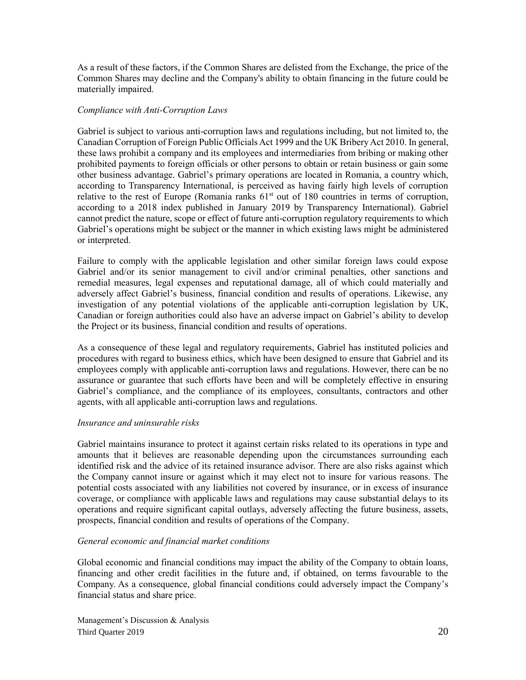As a result of these factors, if the Common Shares are delisted from the Exchange, the price of the Common Shares may decline and the Company's ability to obtain financing in the future could be materially impaired.

### *Compliance with Anti-Corruption Laws*

Gabriel is subject to various anti-corruption laws and regulations including, but not limited to, the Canadian Corruption of Foreign Public Officials Act 1999 and the UK Bribery Act 2010. In general, these laws prohibit a company and its employees and intermediaries from bribing or making other prohibited payments to foreign officials or other persons to obtain or retain business or gain some other business advantage. Gabriel's primary operations are located in Romania, a country which, according to Transparency International, is perceived as having fairly high levels of corruption relative to the rest of Europe (Romania ranks  $61<sup>st</sup>$  out of 180 countries in terms of corruption, according to a 2018 index published in January 2019 by Transparency International). Gabriel cannot predict the nature, scope or effect of future anti-corruption regulatory requirements to which Gabriel's operations might be subject or the manner in which existing laws might be administered or interpreted.

Failure to comply with the applicable legislation and other similar foreign laws could expose Gabriel and/or its senior management to civil and/or criminal penalties, other sanctions and remedial measures, legal expenses and reputational damage, all of which could materially and adversely affect Gabriel's business, financial condition and results of operations. Likewise, any investigation of any potential violations of the applicable anti-corruption legislation by UK, Canadian or foreign authorities could also have an adverse impact on Gabriel's ability to develop the Project or its business, financial condition and results of operations.

As a consequence of these legal and regulatory requirements, Gabriel has instituted policies and procedures with regard to business ethics, which have been designed to ensure that Gabriel and its employees comply with applicable anti-corruption laws and regulations. However, there can be no assurance or guarantee that such efforts have been and will be completely effective in ensuring Gabriel's compliance, and the compliance of its employees, consultants, contractors and other agents, with all applicable anti-corruption laws and regulations.

#### *Insurance and uninsurable risks*

Gabriel maintains insurance to protect it against certain risks related to its operations in type and amounts that it believes are reasonable depending upon the circumstances surrounding each identified risk and the advice of its retained insurance advisor. There are also risks against which the Company cannot insure or against which it may elect not to insure for various reasons. The potential costs associated with any liabilities not covered by insurance, or in excess of insurance coverage, or compliance with applicable laws and regulations may cause substantial delays to its operations and require significant capital outlays, adversely affecting the future business, assets, prospects, financial condition and results of operations of the Company.

#### *General economic and financial market conditions*

Global economic and financial conditions may impact the ability of the Company to obtain loans, financing and other credit facilities in the future and, if obtained, on terms favourable to the Company. As a consequence, global financial conditions could adversely impact the Company's financial status and share price.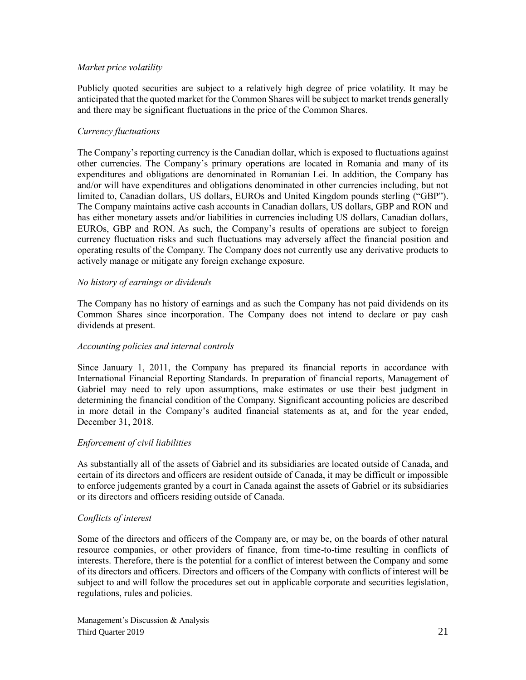#### *Market price volatility*

Publicly quoted securities are subject to a relatively high degree of price volatility. It may be anticipated that the quoted market for the Common Shares will be subject to market trends generally and there may be significant fluctuations in the price of the Common Shares.

## *Currency fluctuations*

The Company's reporting currency is the Canadian dollar, which is exposed to fluctuations against other currencies. The Company's primary operations are located in Romania and many of its expenditures and obligations are denominated in Romanian Lei. In addition, the Company has and/or will have expenditures and obligations denominated in other currencies including, but not limited to, Canadian dollars, US dollars, EUROs and United Kingdom pounds sterling ("GBP"). The Company maintains active cash accounts in Canadian dollars, US dollars, GBP and RON and has either monetary assets and/or liabilities in currencies including US dollars, Canadian dollars, EUROs, GBP and RON. As such, the Company's results of operations are subject to foreign currency fluctuation risks and such fluctuations may adversely affect the financial position and operating results of the Company. The Company does not currently use any derivative products to actively manage or mitigate any foreign exchange exposure.

### *No history of earnings or dividends*

The Company has no history of earnings and as such the Company has not paid dividends on its Common Shares since incorporation. The Company does not intend to declare or pay cash dividends at present.

#### *Accounting policies and internal controls*

Since January 1, 2011, the Company has prepared its financial reports in accordance with International Financial Reporting Standards. In preparation of financial reports, Management of Gabriel may need to rely upon assumptions, make estimates or use their best judgment in determining the financial condition of the Company. Significant accounting policies are described in more detail in the Company's audited financial statements as at, and for the year ended, December 31, 2018.

#### *Enforcement of civil liabilities*

As substantially all of the assets of Gabriel and its subsidiaries are located outside of Canada, and certain of its directors and officers are resident outside of Canada, it may be difficult or impossible to enforce judgements granted by a court in Canada against the assets of Gabriel or its subsidiaries or its directors and officers residing outside of Canada.

#### *Conflicts of interest*

Some of the directors and officers of the Company are, or may be, on the boards of other natural resource companies, or other providers of finance, from time-to-time resulting in conflicts of interests. Therefore, there is the potential for a conflict of interest between the Company and some of its directors and officers. Directors and officers of the Company with conflicts of interest will be subject to and will follow the procedures set out in applicable corporate and securities legislation, regulations, rules and policies.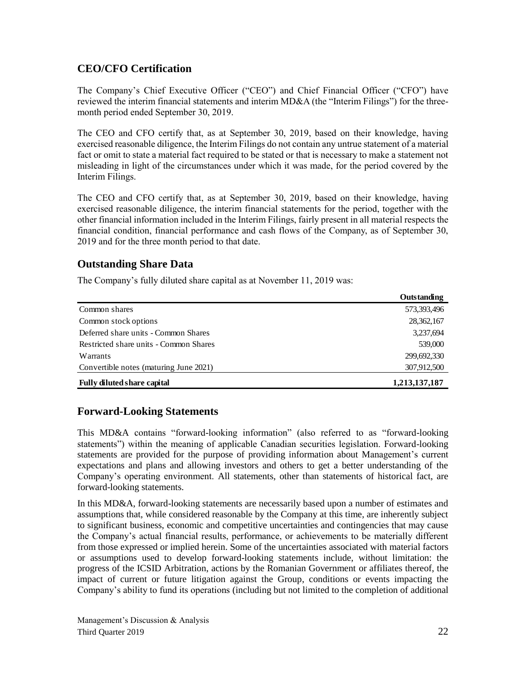# **CEO/CFO Certification**

The Company's Chief Executive Officer ("CEO") and Chief Financial Officer ("CFO") have reviewed the interim financial statements and interim MD&A (the "Interim Filings") for the threemonth period ended September 30, 2019.

The CEO and CFO certify that, as at September 30, 2019, based on their knowledge, having exercised reasonable diligence, the Interim Filings do not contain any untrue statement of a material fact or omit to state a material fact required to be stated or that is necessary to make a statement not misleading in light of the circumstances under which it was made, for the period covered by the Interim Filings.

The CEO and CFO certify that, as at September 30, 2019, based on their knowledge, having exercised reasonable diligence, the interim financial statements for the period, together with the other financial information included in the Interim Filings, fairly present in all material respects the financial condition, financial performance and cash flows of the Company, as of September 30, 2019 and for the three month period to that date.

# **Outstanding Share Data**

The Company's fully diluted share capital as at November 11, 2019 was:

|                                        | Outstanding   |
|----------------------------------------|---------------|
| Common shares                          | 573,393,496   |
| Common stock options                   | 28,362,167    |
| Deferred share units - Common Shares   | 3,237,694     |
| Restricted share units - Common Shares | 539,000       |
| Warrants                               | 299,692,330   |
| Convertible notes (maturing June 2021) | 307,912,500   |
| <b>Fully diluted share capital</b>     | 1,213,137,187 |

# **Forward-Looking Statements**

This MD&A contains "forward-looking information" (also referred to as "forward-looking statements") within the meaning of applicable Canadian securities legislation. Forward-looking statements are provided for the purpose of providing information about Management's current expectations and plans and allowing investors and others to get a better understanding of the Company's operating environment. All statements, other than statements of historical fact, are forward-looking statements.

In this MD&A, forward-looking statements are necessarily based upon a number of estimates and assumptions that, while considered reasonable by the Company at this time, are inherently subject to significant business, economic and competitive uncertainties and contingencies that may cause the Company's actual financial results, performance, or achievements to be materially different from those expressed or implied herein. Some of the uncertainties associated with material factors or assumptions used to develop forward-looking statements include, without limitation: the progress of the ICSID Arbitration, actions by the Romanian Government or affiliates thereof, the impact of current or future litigation against the Group, conditions or events impacting the Company's ability to fund its operations (including but not limited to the completion of additional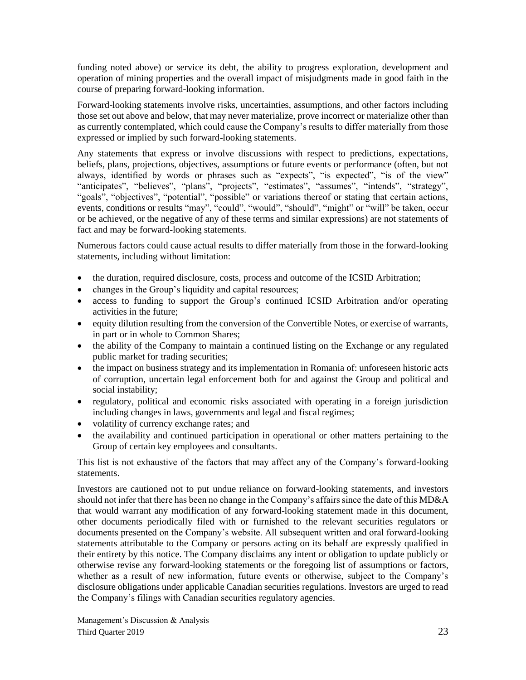funding noted above) or service its debt, the ability to progress exploration, development and operation of mining properties and the overall impact of misjudgments made in good faith in the course of preparing forward-looking information.

Forward-looking statements involve risks, uncertainties, assumptions, and other factors including those set out above and below, that may never materialize, prove incorrect or materialize other than as currently contemplated, which could cause the Company's results to differ materially from those expressed or implied by such forward-looking statements.

Any statements that express or involve discussions with respect to predictions, expectations, beliefs, plans, projections, objectives, assumptions or future events or performance (often, but not always, identified by words or phrases such as "expects", "is expected", "is of the view" "anticipates", "believes", "plans", "projects", "estimates", "assumes", "intends", "strategy", "goals", "objectives", "potential", "possible" or variations thereof or stating that certain actions, events, conditions or results "may", "could", "would", "should", "might" or "will" be taken, occur or be achieved, or the negative of any of these terms and similar expressions) are not statements of fact and may be forward-looking statements.

Numerous factors could cause actual results to differ materially from those in the forward-looking statements, including without limitation:

- the duration, required disclosure, costs, process and outcome of the ICSID Arbitration;
- changes in the Group's liquidity and capital resources;
- access to funding to support the Group's continued ICSID Arbitration and/or operating activities in the future;
- equity dilution resulting from the conversion of the Convertible Notes, or exercise of warrants, in part or in whole to Common Shares;
- the ability of the Company to maintain a continued listing on the Exchange or any regulated public market for trading securities;
- the impact on business strategy and its implementation in Romania of: unforeseen historic acts of corruption, uncertain legal enforcement both for and against the Group and political and social instability;
- regulatory, political and economic risks associated with operating in a foreign jurisdiction including changes in laws, governments and legal and fiscal regimes;
- volatility of currency exchange rates; and
- the availability and continued participation in operational or other matters pertaining to the Group of certain key employees and consultants.

This list is not exhaustive of the factors that may affect any of the Company's forward-looking statements.

Investors are cautioned not to put undue reliance on forward-looking statements, and investors should not infer that there has been no change in the Company's affairs since the date of this MD&A that would warrant any modification of any forward-looking statement made in this document, other documents periodically filed with or furnished to the relevant securities regulators or documents presented on the Company's website. All subsequent written and oral forward-looking statements attributable to the Company or persons acting on its behalf are expressly qualified in their entirety by this notice. The Company disclaims any intent or obligation to update publicly or otherwise revise any forward-looking statements or the foregoing list of assumptions or factors, whether as a result of new information, future events or otherwise, subject to the Company's disclosure obligations under applicable Canadian securities regulations. Investors are urged to read the Company's filings with Canadian securities regulatory agencies.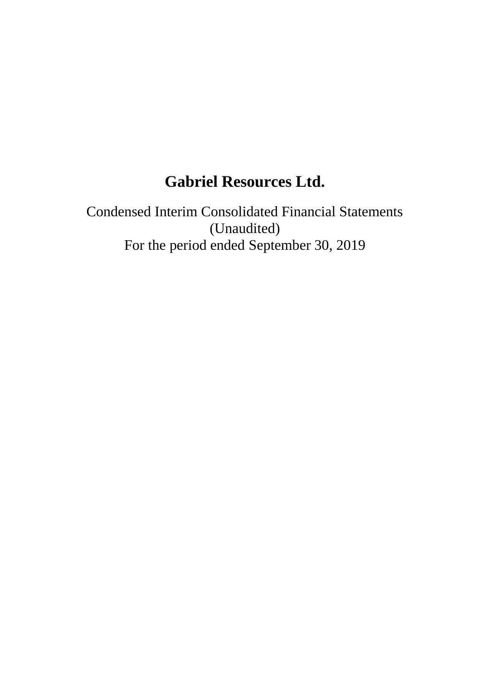# **Gabriel Resources Ltd.**

Condensed Interim Consolidated Financial Statements (Unaudited) For the period ended September 30, 2019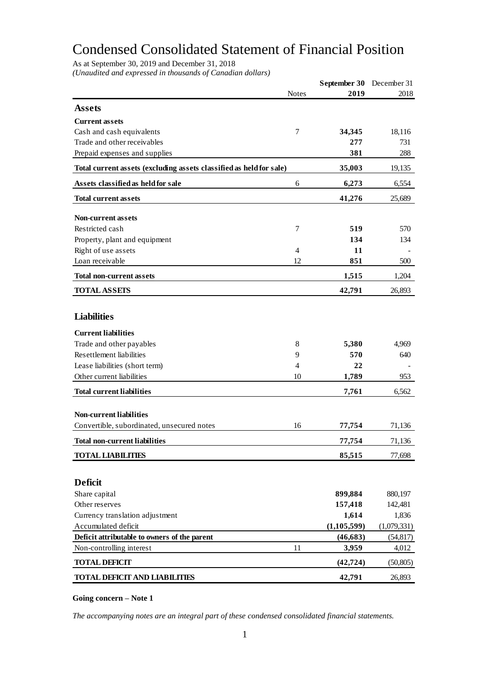# Condensed Consolidated Statement of Financial Position

As at September 30, 2019 and December 31, 2018

*(Unaudited and expressed in thousands of Canadian dollars)*

|                                                                     |              | September 30 December 31 |             |
|---------------------------------------------------------------------|--------------|--------------------------|-------------|
|                                                                     | <b>Notes</b> | 2019                     | 2018        |
| <b>Assets</b>                                                       |              |                          |             |
| <b>Current assets</b>                                               |              |                          |             |
| Cash and cash equivalents                                           | 7            | 34,345                   | 18,116      |
| Trade and other receivables                                         |              | 277                      | 731         |
| Prepaid expenses and supplies                                       |              | 381                      | 288         |
| Total current assets (excluding assets classified as held for sale) |              | 35,003                   | 19,135      |
| Assets classified as held for sale                                  | 6            | 6,273                    | 6,554       |
| <b>Total current assets</b>                                         |              | 41,276                   | 25,689      |
| <b>Non-current assets</b>                                           |              |                          |             |
| Restricted cash                                                     | 7            | 519                      | 570         |
| Property, plant and equipment                                       |              | 134                      | 134         |
| Right of use assets                                                 | 4            | 11                       |             |
| Loan receivable                                                     | 12           | 851                      | 500         |
| <b>Total non-current assets</b>                                     |              | 1,515                    | 1,204       |
| <b>TOTAL ASSETS</b>                                                 |              | 42,791                   | 26,893      |
|                                                                     |              |                          |             |
| <b>Liabilities</b>                                                  |              |                          |             |
| <b>Current liabilities</b>                                          |              |                          |             |
| Trade and other payables                                            | 8            | 5,380                    | 4,969       |
| <b>Resettlement liabilities</b>                                     | 9            | 570                      | 640         |
| Lease liabilities (short term)                                      | 4            | 22                       |             |
| Other current liabilities                                           | 10           | 1,789                    | 953         |
| <b>Total current liabilities</b>                                    |              | 7,761                    | 6,562       |
|                                                                     |              |                          |             |
| <b>Non-current liabilities</b>                                      |              |                          |             |
| Convertible, subordinated, unsecured notes                          | 16           | 77,754                   | 71,136      |
| Total non-current liabilities                                       |              | 77,754                   | 71,136      |
| <b>TOTAL LIABILITIES</b>                                            |              | 85,515                   | 77,698      |
|                                                                     |              |                          |             |
| <b>Deficit</b>                                                      |              |                          |             |
| Share capital                                                       |              | 899,884                  | 880,197     |
| Other reserves                                                      |              | 157,418                  | 142,481     |
| Currency translation adjustment                                     |              | 1,614                    | 1,836       |
| Accumulated deficit                                                 |              | (1, 105, 599)            | (1,079,331) |
| Deficit attributable to owners of the parent                        |              | (46, 683)                | (54, 817)   |
| Non-controlling interest                                            | 11           | 3,959                    | 4,012       |
| <b>TOTAL DEFICIT</b>                                                |              | (42, 724)                | (50, 805)   |
| <b>TOTAL DEFICIT AND LIABILITIES</b>                                |              | 42,791                   | 26,893      |

### **Going concern – Note 1**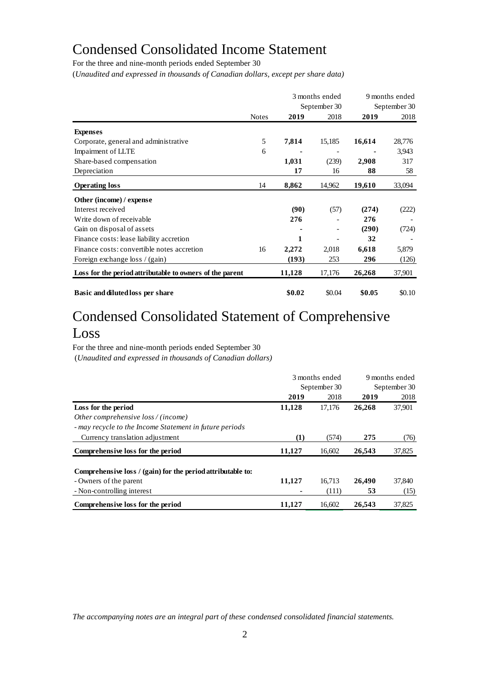# Condensed Consolidated Income Statement

For the three and nine-month periods ended September 30

(*Unaudited and expressed in thousands of Canadian dollars, except per share data)*

|                                                          |              |        | 3 months ended<br>September 30 |        | 9 months ended<br>September 30 |
|----------------------------------------------------------|--------------|--------|--------------------------------|--------|--------------------------------|
|                                                          | <b>Notes</b> | 2019   | 2018                           | 2019   | 2018                           |
| <b>Expenses</b>                                          |              |        |                                |        |                                |
| Corporate, general and administrative                    | 5            | 7,814  | 15,185                         | 16,614 | 28,776                         |
| Impairment of LLTE                                       | 6            |        |                                |        | 3,943                          |
| Share-based compensation                                 |              | 1,031  | (239)                          | 2,908  | 317                            |
| Depreciation                                             |              | 17     | 16                             | 88     | 58                             |
| <b>Operating loss</b>                                    | 14           | 8,862  | 14,962                         | 19,610 | 33,094                         |
| Other (income) / expense                                 |              |        |                                |        |                                |
| Interest received                                        |              | (90)   | (57)                           | (274)  | (222)                          |
| Write down of receivable                                 |              | 276    |                                | 276    |                                |
| Gain on disposal of assets                               |              |        |                                | (290)  | (724)                          |
| Finance costs: lease liability accretion                 |              | 1      |                                | 32     |                                |
| Finance costs: convertible notes accretion               | 16           | 2,272  | 2,018                          | 6,618  | 5,879                          |
| Foreign exchange loss / (gain)                           |              | (193)  | 253                            | 296    | (126)                          |
| Loss for the period attributable to owners of the parent |              | 11,128 | 17,176                         | 26,268 | 37,901                         |
| Basic and diluted loss per share                         |              | \$0.02 | \$0.04                         | \$0.05 | \$0.10                         |

# Condensed Consolidated Statement of Comprehensive Loss

For the three and nine-month periods ended September 30

(*Unaudited and expressed in thousands of Canadian dollars)*

|                                                             | 3 months ended |              | 9 months ended |        |  |
|-------------------------------------------------------------|----------------|--------------|----------------|--------|--|
|                                                             |                | September 30 | September 30   |        |  |
|                                                             | 2019           | 2018         | 2019           | 2018   |  |
| Loss for the period                                         | 11,128         | 17,176       | 26,268         | 37,901 |  |
| Other comprehensive loss / (income)                         |                |              |                |        |  |
| - may recycle to the Income Statement in future periods     |                |              |                |        |  |
| Currency translation adjustment                             | (1)            | (574)        | 275            | (76)   |  |
| Comprehensive loss for the period                           | 11,127         | 16,602       | 26,543         | 37,825 |  |
| Comprehensive loss / (gain) for the period attributable to: |                |              |                |        |  |
| - Owners of the parent                                      | 11,127         | 16.713       | 26.490         | 37,840 |  |
| - Non-controlling interest                                  |                | (111)        | 53             | (15)   |  |
| Comprehensive loss for the period                           | 11,127         | 16.602       | 26,543         | 37,825 |  |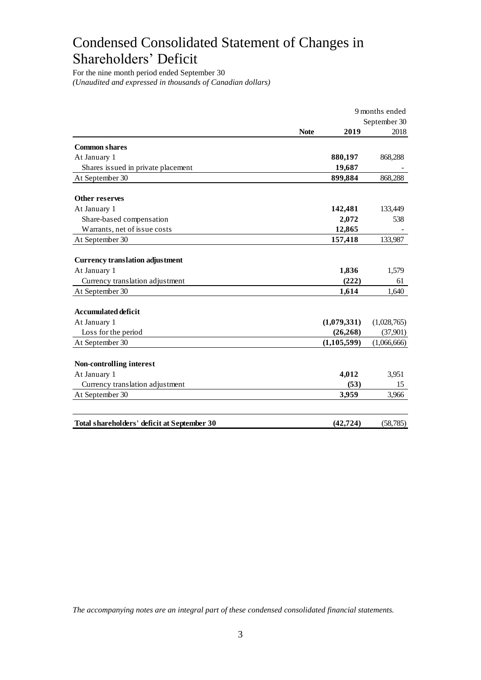# Condensed Consolidated Statement of Changes in Shareholders' Deficit

For the nine month period ended September 30 *(Unaudited and expressed in thousands of Canadian dollars)*

|                                             | 9 months ended      |              |  |
|---------------------------------------------|---------------------|--------------|--|
|                                             |                     | September 30 |  |
|                                             | <b>Note</b><br>2019 | 2018         |  |
| <b>Common shares</b>                        |                     |              |  |
| At January 1                                | 880,197             | 868,288      |  |
| Shares issued in private placement          | 19,687              |              |  |
| At September 30                             | 899,884             | 868,288      |  |
| Other reserves                              |                     |              |  |
| At January 1                                | 142,481             | 133,449      |  |
| Share-based compensation                    | 2,072               | 538          |  |
| Warrants, net of issue costs                | 12,865              |              |  |
| At September 30                             | 157,418             | 133,987      |  |
| <b>Currency translation adjustment</b>      |                     |              |  |
| At January 1                                | 1,836               | 1,579        |  |
| Currency translation adjustment             | (222)               | 61           |  |
| At September 30                             | 1,614               | 1,640        |  |
| <b>Accumulated deficit</b>                  |                     |              |  |
| At January 1                                | (1,079,331)         | (1,028,765)  |  |
| Loss for the period                         | (26, 268)           | (37,901)     |  |
| At September 30                             | (1, 105, 599)       | (1,066,666)  |  |
| Non-controlling interest                    |                     |              |  |
| At January 1                                | 4,012               | 3,951        |  |
| Currency translation adjustment             | (53)                | 15           |  |
| At September 30                             | 3,959               | 3,966        |  |
|                                             |                     |              |  |
| Total shareholders' deficit at September 30 | (42, 724)           | (58, 785)    |  |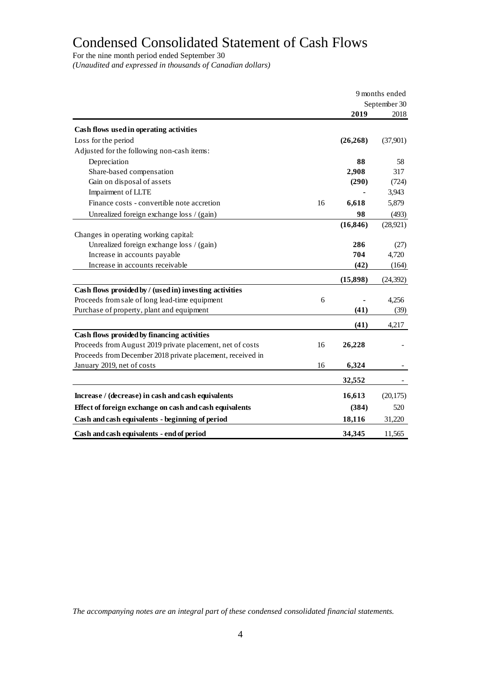# Condensed Consolidated Statement of Cash Flows

For the nine month period ended September 30

*(Unaudited and expressed in thousands of Canadian dollars)*

|                                                            | 9 months ended |           |           |
|------------------------------------------------------------|----------------|-----------|-----------|
|                                                            | September 30   |           |           |
|                                                            |                | 2019      | 2018      |
| Cash flows used in operating activities                    |                |           |           |
| Loss for the period                                        |                | (26, 268) | (37,901)  |
| Adjusted for the following non-cash items:                 |                |           |           |
| Depreciation                                               |                | 88        | 58        |
| Share-based compensation                                   |                | 2,908     | 317       |
| Gain on disposal of assets                                 |                | (290)     | (724)     |
| Impairment of LLTE                                         |                |           | 3,943     |
| Finance costs - convertible note accretion                 | 16             | 6,618     | 5,879     |
| Unrealized foreign exchange loss / (gain)                  |                | 98        | (493)     |
|                                                            |                | (16, 846) | (28, 921) |
| Changes in operating working capital:                      |                |           |           |
| Unrealized foreign exchange loss / (gain)                  |                | 286       | (27)      |
| Increase in accounts payable                               |                | 704       | 4,720     |
| Increase in accounts receivable                            |                | (42)      | (164)     |
|                                                            |                | (15, 898) | (24, 392) |
| Cash flows provided by / (used in) investing activities    |                |           |           |
| Proceeds from sale of long lead-time equipment             | 6              |           | 4,256     |
| Purchase of property, plant and equipment                  |                | (41)      | (39)      |
|                                                            |                | (41)      | 4,217     |
| Cash flows provided by financing activities                |                |           |           |
| Proceeds from August 2019 private placement, net of costs  | 16             | 26,228    |           |
| Proceeds from December 2018 private placement, received in |                |           |           |
| January 2019, net of costs                                 | 16             | 6,324     |           |
|                                                            |                | 32,552    |           |
| Increase / (decrease) in cash and cash equivalents         |                | 16,613    | (20, 175) |
| Effect of foreign exchange on cash and cash equivalents    |                | (384)     | 520       |
| Cash and cash equivalents - beginning of period            |                | 18,116    | 31,220    |
| Cash and cash equivalents - end of period                  |                | 34,345    | 11,565    |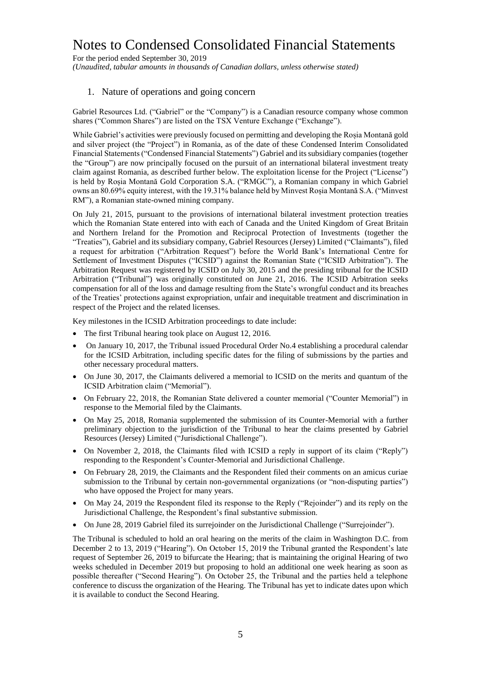For the period ended September 30, 2019 *(Unaudited, tabular amounts in thousands of Canadian dollars, unless otherwise stated)*

### 1. Nature of operations and going concern

Gabriel Resources Ltd. ("Gabriel" or the "Company") is a Canadian resource company whose common shares ("Common Shares") are listed on the TSX Venture Exchange ("Exchange").

While Gabriel's activities were previously focused on permitting and developing the Roșia Montană gold and silver project (the "Project") in Romania, as of the date of these Condensed Interim Consolidated Financial Statements ("Condensed Financial Statements") Gabriel and its subsidiary companies (together the "Group") are now principally focused on the pursuit of an international bilateral investment treaty claim against Romania, as described further below. The exploitation license for the Project ("License") is held by Roșia Montană Gold Corporation S.A. ("RMGC"), a Romanian company in which Gabriel owns an 80.69% equity interest, with the 19.31% balance held by Minvest Roșia Montană S.A. ("Minvest RM"), a Romanian state-owned mining company.

On July 21, 2015, pursuant to the provisions of international bilateral investment protection treaties which the Romanian State entered into with each of Canada and the United Kingdom of Great Britain and Northern Ireland for the Promotion and Reciprocal Protection of Investments (together the "Treaties"), Gabriel and its subsidiary company, Gabriel Resources (Jersey) Limited ("Claimants"), filed a request for arbitration ("Arbitration Request") before the World Bank's International Centre for Settlement of Investment Disputes ("ICSID") against the Romanian State ("ICSID Arbitration"). The Arbitration Request was registered by ICSID on July 30, 2015 and the presiding tribunal for the ICSID Arbitration ("Tribunal") was originally constituted on June 21, 2016. The ICSID Arbitration seeks compensation for all of the loss and damage resulting from the State's wrongful conduct and its breaches of the Treaties' protections against expropriation, unfair and inequitable treatment and discrimination in respect of the Project and the related licenses.

Key milestones in the ICSID Arbitration proceedings to date include:

- The first Tribunal hearing took place on August 12, 2016.
- On January 10, 2017, the Tribunal issued Procedural Order No.4 establishing a procedural calendar for the ICSID Arbitration, including specific dates for the filing of submissions by the parties and other necessary procedural matters.
- On June 30, 2017, the Claimants delivered a memorial to ICSID on the merits and quantum of the ICSID Arbitration claim ("Memorial").
- On February 22, 2018, the Romanian State delivered a counter memorial ("Counter Memorial") in response to the Memorial filed by the Claimants.
- On May 25, 2018, Romania supplemented the submission of its Counter-Memorial with a further preliminary objection to the jurisdiction of the Tribunal to hear the claims presented by Gabriel Resources (Jersey) Limited ("Jurisdictional Challenge").
- On November 2, 2018, the Claimants filed with ICSID a reply in support of its claim ("Reply") responding to the Respondent's Counter-Memorial and Jurisdictional Challenge.
- On February 28, 2019, the Claimants and the Respondent filed their comments on an amicus curiae submission to the Tribunal by certain non-governmental organizations (or "non-disputing parties") who have opposed the Project for many years.
- On May 24, 2019 the Respondent filed its response to the Reply ("Rejoinder") and its reply on the Jurisdictional Challenge, the Respondent's final substantive submission.
- On June 28, 2019 Gabriel filed its surrejoinder on the Jurisdictional Challenge ("Surrejoinder").

The Tribunal is scheduled to hold an oral hearing on the merits of the claim in Washington D.C. from December 2 to 13, 2019 ("Hearing"). On October 15, 2019 the Tribunal granted the Respondent's late request of September 26, 2019 to bifurcate the Hearing; that is maintaining the original Hearing of two weeks scheduled in December 2019 but proposing to hold an additional one week hearing as soon as possible thereafter ("Second Hearing"). On October 25, the Tribunal and the parties held a telephone conference to discuss the organization of the Hearing. The Tribunal has yet to indicate dates upon which it is available to conduct the Second Hearing.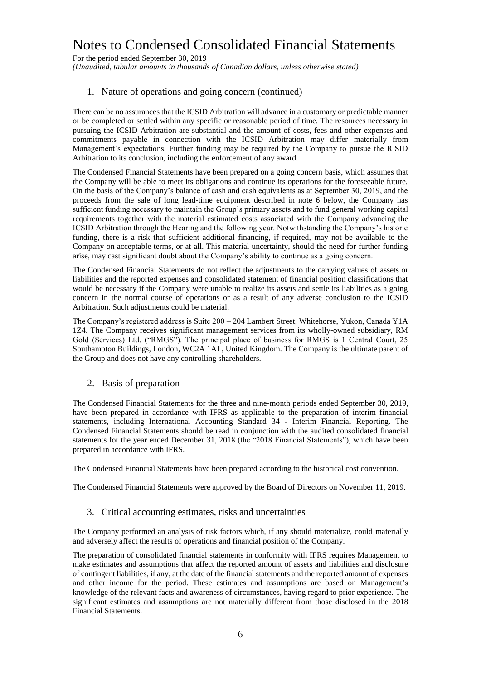For the period ended September 30, 2019 *(Unaudited, tabular amounts in thousands of Canadian dollars, unless otherwise stated)*

## 1. Nature of operations and going concern (continued)

There can be no assurances that the ICSID Arbitration will advance in a customary or predictable manner or be completed or settled within any specific or reasonable period of time. The resources necessary in pursuing the ICSID Arbitration are substantial and the amount of costs, fees and other expenses and commitments payable in connection with the ICSID Arbitration may differ materially from Management's expectations. Further funding may be required by the Company to pursue the ICSID Arbitration to its conclusion, including the enforcement of any award.

The Condensed Financial Statements have been prepared on a going concern basis, which assumes that the Company will be able to meet its obligations and continue its operations for the foreseeable future. On the basis of the Company's balance of cash and cash equivalents as at September 30, 2019, and the proceeds from the sale of long lead-time equipment described in note 6 below, the Company has sufficient funding necessary to maintain the Group's primary assets and to fund general working capital requirements together with the material estimated costs associated with the Company advancing the ICSID Arbitration through the Hearing and the following year. Notwithstanding the Company's historic funding, there is a risk that sufficient additional financing, if required, may not be available to the Company on acceptable terms, or at all. This material uncertainty, should the need for further funding arise, may cast significant doubt about the Company's ability to continue as a going concern.

The Condensed Financial Statements do not reflect the adjustments to the carrying values of assets or liabilities and the reported expenses and consolidated statement of financial position classifications that would be necessary if the Company were unable to realize its assets and settle its liabilities as a going concern in the normal course of operations or as a result of any adverse conclusion to the ICSID Arbitration. Such adjustments could be material.

The Company's registered address is Suite 200 – 204 Lambert Street, Whitehorse, Yukon, Canada Y1A 1Z4. The Company receives significant management services from its wholly-owned subsidiary, RM Gold (Services) Ltd. ("RMGS"). The principal place of business for RMGS is 1 Central Court, 25 Southampton Buildings, London, WC2A 1AL, United Kingdom. The Company is the ultimate parent of the Group and does not have any controlling shareholders.

#### 2. Basis of preparation

The Condensed Financial Statements for the three and nine-month periods ended September 30, 2019, have been prepared in accordance with IFRS as applicable to the preparation of interim financial statements, including International Accounting Standard 34 - Interim Financial Reporting. The Condensed Financial Statements should be read in conjunction with the audited consolidated financial statements for the year ended December 31, 2018 (the "2018 Financial Statements"), which have been prepared in accordance with IFRS.

The Condensed Financial Statements have been prepared according to the historical cost convention.

The Condensed Financial Statements were approved by the Board of Directors on November 11, 2019.

#### 3. Critical accounting estimates, risks and uncertainties

The Company performed an analysis of risk factors which, if any should materialize, could materially and adversely affect the results of operations and financial position of the Company.

The preparation of consolidated financial statements in conformity with IFRS requires Management to make estimates and assumptions that affect the reported amount of assets and liabilities and disclosure of contingent liabilities, if any, at the date of the financial statements and the reported amount of expenses and other income for the period. These estimates and assumptions are based on Management's knowledge of the relevant facts and awareness of circumstances, having regard to prior experience. The significant estimates and assumptions are not materially different from those disclosed in the 2018 Financial Statements.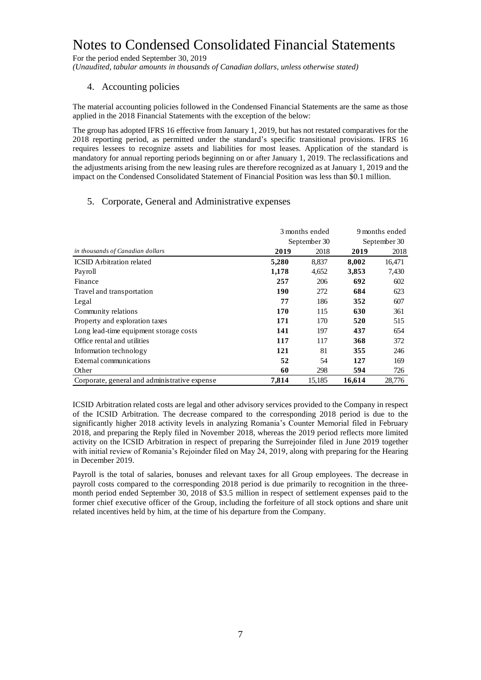For the period ended September 30, 2019

*(Unaudited, tabular amounts in thousands of Canadian dollars, unless otherwise stated)*

## 4. Accounting policies

The material accounting policies followed in the Condensed Financial Statements are the same as those applied in the 2018 Financial Statements with the exception of the below:

The group has adopted IFRS 16 effective from January 1, 2019, but has not restated comparatives for the 2018 reporting period, as permitted under the standard's specific transitional provisions. IFRS 16 requires lessees to recognize assets and liabilities for most leases. Application of the standard is mandatory for annual reporting periods beginning on or after January 1, 2019. The reclassifications and the adjustments arising from the new leasing rules are therefore recognized as at January 1, 2019 and the impact on the Condensed Consolidated Statement of Financial Position was less than \$0.1 million.

### 5. Corporate, General and Administrative expenses

|                                               | 3 months ended |        | 9 months ended |        |
|-----------------------------------------------|----------------|--------|----------------|--------|
|                                               | September 30   |        | September 30   |        |
| in thousands of Canadian dollars              | 2019           | 2018   | 2019           | 2018   |
| <b>ICSID</b> Arbitration related              | 5,280          | 8,837  | 8,002          | 16,471 |
| Payroll                                       | 1,178          | 4,652  | 3,853          | 7,430  |
| Finance                                       | 257            | 206    | 692            | 602    |
| Travel and transportation                     | 190            | 272    | 684            | 623    |
| Legal                                         | 77             | 186    | 352            | 607    |
| Community relations                           | 170            | 115    | 630            | 361    |
| Property and exploration taxes                | 171            | 170    | 520            | 515    |
| Long lead-time equipment storage costs        | 141            | 197    | 437            | 654    |
| Office rental and utilities                   | 117            | 117    | 368            | 372    |
| Information technology                        | 121            | 81     | 355            | 246    |
| External communications                       | 52             | 54     | 127            | 169    |
| Other                                         | 60             | 298    | 594            | 726    |
| Corporate, general and administrative expense | 7,814          | 15,185 | 16,614         | 28,776 |

ICSID Arbitration related costs are legal and other advisory services provided to the Company in respect of the ICSID Arbitration. The decrease compared to the corresponding 2018 period is due to the significantly higher 2018 activity levels in analyzing Romania's Counter Memorial filed in February 2018, and preparing the Reply filed in November 2018, whereas the 2019 period reflects more limited activity on the ICSID Arbitration in respect of preparing the Surrejoinder filed in June 2019 together with initial review of Romania's Rejoinder filed on May 24, 2019, along with preparing for the Hearing in December 2019.

Payroll is the total of salaries, bonuses and relevant taxes for all Group employees. The decrease in payroll costs compared to the corresponding 2018 period is due primarily to recognition in the threemonth period ended September 30, 2018 of \$3.5 million in respect of settlement expenses paid to the former chief executive officer of the Group, including the forfeiture of all stock options and share unit related incentives held by him, at the time of his departure from the Company.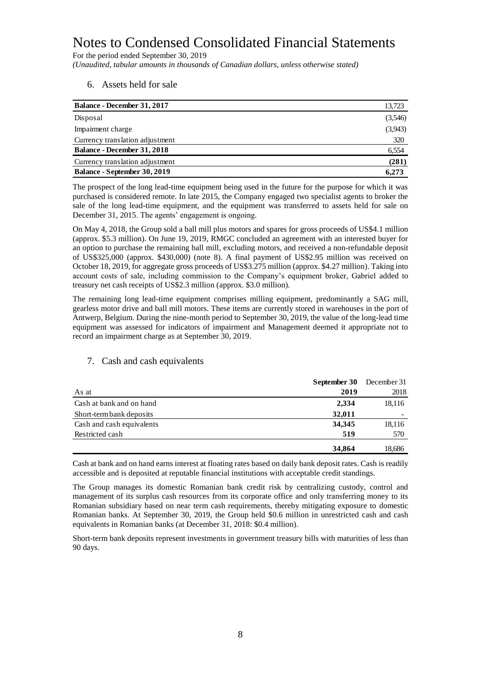For the period ended September 30, 2019 *(Unaudited, tabular amounts in thousands of Canadian dollars, unless otherwise stated)*

6. Assets held for sale

| <b>Balance - December 31, 2017</b>  | 13,723  |
|-------------------------------------|---------|
| Disposal                            | (3,546) |
| Impairment charge                   | (3,943) |
| Currency translation adjustment     | 320     |
| <b>Balance - December 31, 2018</b>  | 6,554   |
| Currency translation adjustment     | (281)   |
| <b>Balance - September 30, 2019</b> | 6,273   |

The prospect of the long lead-time equipment being used in the future for the purpose for which it was purchased is considered remote. In late 2015, the Company engaged two specialist agents to broker the sale of the long lead-time equipment, and the equipment was transferred to assets held for sale on December 31, 2015. The agents' engagement is ongoing.

On May 4, 2018, the Group sold a ball mill plus motors and spares for gross proceeds of US\$4.1 million (approx. \$5.3 million). On June 19, 2019, RMGC concluded an agreement with an interested buyer for an option to purchase the remaining ball mill, excluding motors, and received a non-refundable deposit of US\$325,000 (approx. \$430,000) (note 8). A final payment of US\$2.95 million was received on October 18, 2019, for aggregate gross proceeds of US\$3.275 million (approx. \$4.27 million). Taking into account costs of sale, including commission to the Company's equipment broker, Gabriel added to treasury net cash receipts of US\$2.3 million (approx. \$3.0 million).

The remaining long lead-time equipment comprises milling equipment, predominantly a SAG mill, gearless motor drive and ball mill motors. These items are currently stored in warehouses in the port of Antwerp, Belgium. During the nine-month period to September 30, 2019, the value of the long-lead time equipment was assessed for indicators of impairment and Management deemed it appropriate not to record an impairment charge as at September 30, 2019.

|                           | September 30 | December 31 |
|---------------------------|--------------|-------------|
| As at                     | 2019         | 2018        |
| Cash at bank and on hand  | 2,334        | 18,116      |
| Short-term bank deposits  | 32,011       |             |
| Cash and cash equivalents | 34,345       | 18,116      |
| Restricted cash           | 519          | 570         |
|                           | 34,864       | 18,686      |

## 7. Cash and cash equivalents

Cash at bank and on hand earns interest at floating rates based on daily bank deposit rates. Cash is readily accessible and is deposited at reputable financial institutions with acceptable credit standings.

The Group manages its domestic Romanian bank credit risk by centralizing custody, control and management of its surplus cash resources from its corporate office and only transferring money to its Romanian subsidiary based on near term cash requirements, thereby mitigating exposure to domestic Romanian banks. At September 30, 2019, the Group held \$0.6 million in unrestricted cash and cash equivalents in Romanian banks (at December 31, 2018: \$0.4 million).

Short-term bank deposits represent investments in government treasury bills with maturities of less than 90 days.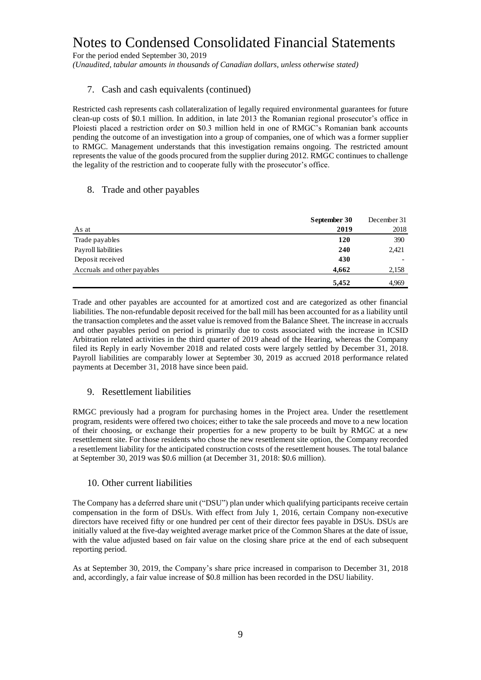For the period ended September 30, 2019

*(Unaudited, tabular amounts in thousands of Canadian dollars, unless otherwise stated)*

## 7. Cash and cash equivalents (continued)

Restricted cash represents cash collateralization of legally required environmental guarantees for future clean-up costs of \$0.1 million. In addition, in late 2013 the Romanian regional prosecutor's office in Ploiesti placed a restriction order on \$0.3 million held in one of RMGC's Romanian bank accounts pending the outcome of an investigation into a group of companies, one of which was a former supplier to RMGC. Management understands that this investigation remains ongoing. The restricted amount represents the value of the goods procured from the supplier during 2012. RMGC continues to challenge the legality of the restriction and to cooperate fully with the prosecutor's office.

### 8. Trade and other payables

|                             | September 30 | December 31 |
|-----------------------------|--------------|-------------|
| As at                       | 2019         | 2018        |
| Trade payables              | <b>120</b>   | 390         |
| Payroll liabilities         | 240          | 2,421       |
| Deposit received            | 430          |             |
| Accruals and other payables | 4,662        | 2,158       |
|                             | 5,452        | 4.969       |

Trade and other payables are accounted for at amortized cost and are categorized as other financial liabilities. The non-refundable deposit received for the ball mill has been accounted for as a liability until the transaction completes and the asset value is removed from the Balance Sheet. The increase in accruals and other payables period on period is primarily due to costs associated with the increase in ICSID Arbitration related activities in the third quarter of 2019 ahead of the Hearing, whereas the Company filed its Reply in early November 2018 and related costs were largely settled by December 31, 2018. Payroll liabilities are comparably lower at September 30, 2019 as accrued 2018 performance related payments at December 31, 2018 have since been paid.

## 9. Resettlement liabilities

RMGC previously had a program for purchasing homes in the Project area. Under the resettlement program, residents were offered two choices; either to take the sale proceeds and move to a new location of their choosing, or exchange their properties for a new property to be built by RMGC at a new resettlement site. For those residents who chose the new resettlement site option, the Company recorded a resettlement liability for the anticipated construction costs of the resettlement houses. The total balance at September 30, 2019 was \$0.6 million (at December 31, 2018: \$0.6 million).

#### 10. Other current liabilities

The Company has a deferred share unit ("DSU") plan under which qualifying participants receive certain compensation in the form of DSUs. With effect from July 1, 2016, certain Company non-executive directors have received fifty or one hundred per cent of their director fees payable in DSUs. DSUs are initially valued at the five-day weighted average market price of the Common Shares at the date of issue, with the value adjusted based on fair value on the closing share price at the end of each subsequent reporting period.

As at September 30, 2019, the Company's share price increased in comparison to December 31, 2018 and, accordingly, a fair value increase of \$0.8 million has been recorded in the DSU liability.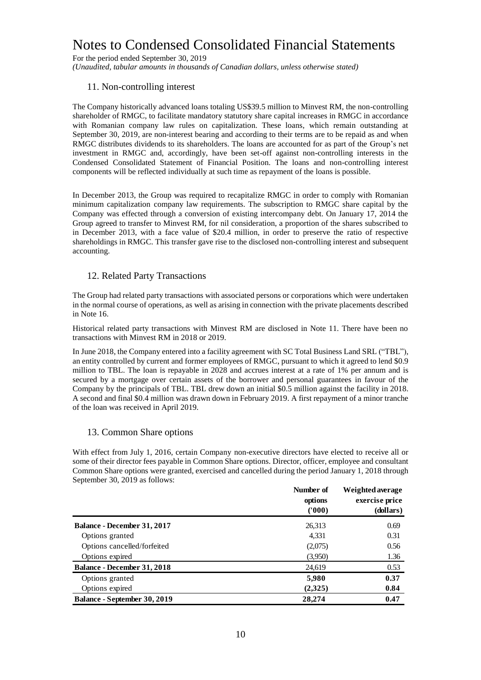For the period ended September 30, 2019 *(Unaudited, tabular amounts in thousands of Canadian dollars, unless otherwise stated)*

# 11. Non-controlling interest

The Company historically advanced loans totaling US\$39.5 million to Minvest RM, the non-controlling shareholder of RMGC, to facilitate mandatory statutory share capital increases in RMGC in accordance with Romanian company law rules on capitalization. These loans, which remain outstanding at September 30, 2019, are non-interest bearing and according to their terms are to be repaid as and when RMGC distributes dividends to its shareholders. The loans are accounted for as part of the Group's net investment in RMGC and, accordingly, have been set-off against non-controlling interests in the Condensed Consolidated Statement of Financial Position. The loans and non-controlling interest components will be reflected individually at such time as repayment of the loans is possible.

In December 2013, the Group was required to recapitalize RMGC in order to comply with Romanian minimum capitalization company law requirements. The subscription to RMGC share capital by the Company was effected through a conversion of existing intercompany debt. On January 17, 2014 the Group agreed to transfer to Minvest RM, for nil consideration, a proportion of the shares subscribed to in December 2013, with a face value of \$20.4 million, in order to preserve the ratio of respective shareholdings in RMGC. This transfer gave rise to the disclosed non-controlling interest and subsequent accounting.

### 12. Related Party Transactions

The Group had related party transactions with associated persons or corporations which were undertaken in the normal course of operations, as well as arising in connection with the private placements described in Note 16.

Historical related party transactions with Minvest RM are disclosed in Note 11. There have been no transactions with Minvest RM in 2018 or 2019.

In June 2018, the Company entered into a facility agreement with SC Total Business Land SRL ("TBL"), an entity controlled by current and former employees of RMGC, pursuant to which it agreed to lend \$0.9 million to TBL. The loan is repayable in 2028 and accrues interest at a rate of 1% per annum and is secured by a mortgage over certain assets of the borrower and personal guarantees in favour of the Company by the principals of TBL. TBL drew down an initial \$0.5 million against the facility in 2018. A second and final \$0.4 million was drawn down in February 2019. A first repayment of a minor tranche of the loan was received in April 2019.

## 13. Common Share options

With effect from July 1, 2016, certain Company non-executive directors have elected to receive all or some of their director fees payable in Common Share options. Director, officer, employee and consultant Common Share options were granted, exercised and cancelled during the period January 1, 2018 through September 30, 2019 as follows:

|                                     | Number of<br>options<br>(1000) | Weighted average<br>exercise price<br>(dollars) |
|-------------------------------------|--------------------------------|-------------------------------------------------|
| <b>Balance - December 31, 2017</b>  | 26,313                         | 0.69                                            |
| Options granted                     | 4,331                          | 0.31                                            |
| Options cancelled/forfeited         | (2,075)                        | 0.56                                            |
| Options expired                     | (3,950)                        | 1.36                                            |
| <b>Balance - December 31, 2018</b>  | 24,619                         | 0.53                                            |
| Options granted                     | 5,980                          | 0.37                                            |
| Options expired                     | (2,325)                        | 0.84                                            |
| <b>Balance - September 30, 2019</b> | 28,274                         | 0.47                                            |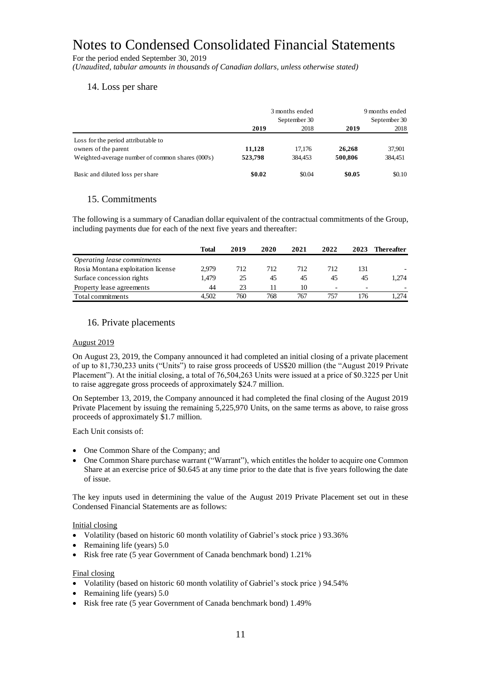For the period ended September 30, 2019

*(Unaudited, tabular amounts in thousands of Canadian dollars, unless otherwise stated)*

### 14. Loss per share

|                                                  | 3 months ended<br>September 30 |         |         | 9 months ended<br>September 30 |
|--------------------------------------------------|--------------------------------|---------|---------|--------------------------------|
|                                                  | 2019                           | 2018    | 2019    | 2018                           |
| Loss for the period attributable to              |                                |         |         |                                |
| owners of the parent                             | 11.128                         | 17.176  | 26,268  | 37,901                         |
| Weighted-average number of common shares (000's) | 523,798                        | 384.453 | 500,806 | 384,451                        |
| Basic and diluted loss per share                 | \$0.02                         | \$0.04  | \$0.05  | \$0.10                         |

### 15. Commitments

The following is a summary of Canadian dollar equivalent of the contractual commitments of the Group, including payments due for each of the next five years and thereafter:

|                                    | Total | 2019 | 2020 | 2021 | 2022                     | 2023                     | <b>Thereafter</b> |
|------------------------------------|-------|------|------|------|--------------------------|--------------------------|-------------------|
| Operating lease commitments        |       |      |      |      |                          |                          |                   |
| Rosia Montana exploitation license | 2.979 | 712  | 712  | 712  | 712                      | 131                      |                   |
| Surface concession rights          | 1.479 | 25   | 45   | 45   | 45                       | 45                       | 1.274             |
| Property lease agreements          | 44    | 23   |      | 10   | $\overline{\phantom{0}}$ | $\overline{\phantom{0}}$ |                   |
| Total commitments                  | 4.502 | 760  | 768  | 767  | 757                      | 176                      | .274              |

### 16. Private placements

#### August 2019

On August 23, 2019, the Company announced it had completed an initial closing of a private placement of up to 81,730,233 units ("Units") to raise gross proceeds of US\$20 million (the "August 2019 Private Placement"). At the initial closing, a total of 76,504,263 Units were issued at a price of \$0.3225 per Unit to raise aggregate gross proceeds of approximately \$24.7 million.

On September 13, 2019, the Company announced it had completed the final closing of the August 2019 Private Placement by issuing the remaining 5,225,970 Units, on the same terms as above, to raise gross proceeds of approximately \$1.7 million.

Each Unit consists of:

- One Common Share of the Company; and
- One Common Share purchase warrant ("Warrant"), which entitles the holder to acquire one Common Share at an exercise price of \$0.645 at any time prior to the date that is five years following the date of issue.

The key inputs used in determining the value of the August 2019 Private Placement set out in these Condensed Financial Statements are as follows:

#### Initial closing

- Volatility (based on historic 60 month volatility of Gabriel's stock price ) 93.36%
- Remaining life (years)  $5.0$
- Risk free rate (5 year Government of Canada benchmark bond) 1.21%

#### Final closing

- Volatility (based on historic 60 month volatility of Gabriel's stock price ) 94.54%
- Remaining life (years) 5.0
- Risk free rate (5 year Government of Canada benchmark bond) 1.49%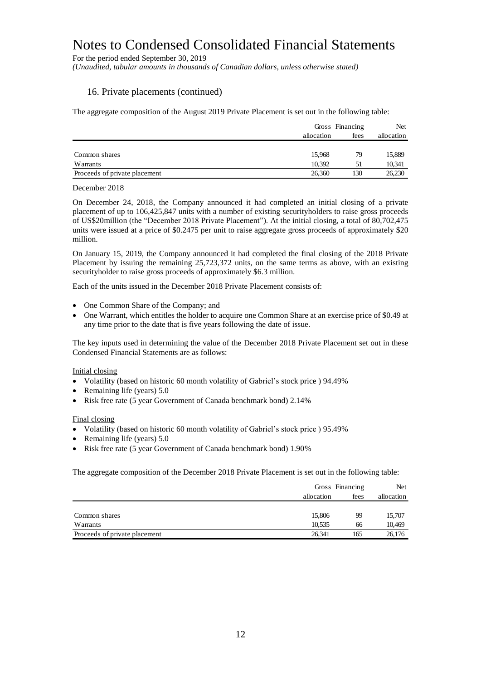For the period ended September 30, 2019

*(Unaudited, tabular amounts in thousands of Canadian dollars, unless otherwise stated)*

### 16. Private placements (continued)

The aggregate composition of the August 2019 Private Placement is set out in the following table:

|                               | Gross Financing |      | Net        |
|-------------------------------|-----------------|------|------------|
|                               | allocation      | fees | allocation |
|                               |                 |      |            |
| Common shares                 | 15.968          | 79   | 15,889     |
| Warrants                      | 10.392          | 51   | 10,341     |
| Proceeds of private placement | 26,360          | 130  | 26,230     |

#### December 2018

On December 24, 2018, the Company announced it had completed an initial closing of a private placement of up to 106,425,847 units with a number of existing securityholders to raise gross proceeds of US\$20million (the "December 2018 Private Placement"). At the initial closing, a total of 80,702,475 units were issued at a price of \$0.2475 per unit to raise aggregate gross proceeds of approximately \$20 million.

On January 15, 2019, the Company announced it had completed the final closing of the 2018 Private Placement by issuing the remaining 25,723,372 units, on the same terms as above, with an existing securityholder to raise gross proceeds of approximately \$6.3 million.

Each of the units issued in the December 2018 Private Placement consists of:

- One Common Share of the Company; and
- One Warrant, which entitles the holder to acquire one Common Share at an exercise price of \$0.49 at any time prior to the date that is five years following the date of issue.

The key inputs used in determining the value of the December 2018 Private Placement set out in these Condensed Financial Statements are as follows:

#### Initial closing

- Volatility (based on historic 60 month volatility of Gabriel's stock price ) 94.49%
- Remaining life (years) 5.0
- Risk free rate (5 year Government of Canada benchmark bond) 2.14%

#### Final closing

- Volatility (based on historic 60 month volatility of Gabriel's stock price ) 95.49%
- Remaining life (years) 5.0
- Risk free rate (5 year Government of Canada benchmark bond) 1.90%

The aggregate composition of the December 2018 Private Placement is set out in the following table:

|                               |            | Gross Financing |            |
|-------------------------------|------------|-----------------|------------|
|                               | allocation | fees            | allocation |
|                               |            |                 |            |
| Common shares                 | 15,806     | 99              | 15,707     |
| Warrants                      | 10.535     | 66              | 10,469     |
| Proceeds of private placement | 26.341     | 165             | 26,176     |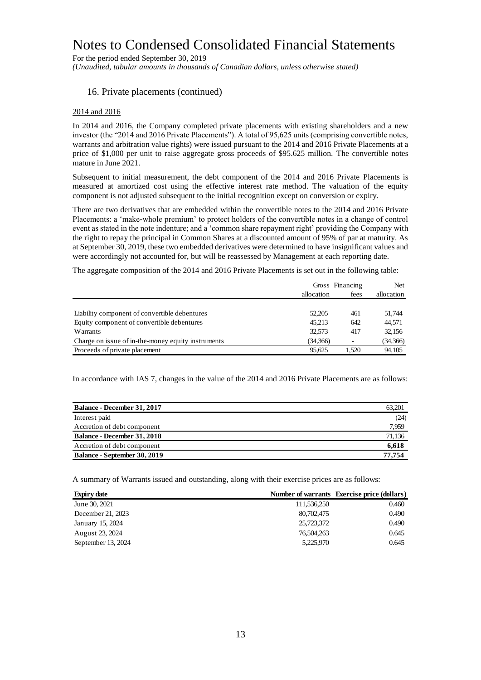For the period ended September 30, 2019 *(Unaudited, tabular amounts in thousands of Canadian dollars, unless otherwise stated)*

### 16. Private placements (continued)

#### 2014 and 2016

In 2014 and 2016, the Company completed private placements with existing shareholders and a new investor (the "2014 and 2016 Private Placements"). A total of 95,625 units (comprising convertible notes, warrants and arbitration value rights) were issued pursuant to the 2014 and 2016 Private Placements at a price of \$1,000 per unit to raise aggregate gross proceeds of \$95.625 million. The convertible notes mature in June 2021.

Subsequent to initial measurement, the debt component of the 2014 and 2016 Private Placements is measured at amortized cost using the effective interest rate method. The valuation of the equity component is not adjusted subsequent to the initial recognition except on conversion or expiry.

There are two derivatives that are embedded within the convertible notes to the 2014 and 2016 Private Placements: a 'make-whole premium' to protect holders of the convertible notes in a change of control event as stated in the note indenture; and a 'common share repayment right' providing the Company with the right to repay the principal in Common Shares at a discounted amount of 95% of par at maturity. As at September 30, 2019, these two embedded derivatives were determined to have insignificant values and were accordingly not accounted for, but will be reassessed by Management at each reporting date.

The aggregate composition of the 2014 and 2016 Private Placements is set out in the following table:

|                                                    |            | Gross Financing | <b>Net</b> |
|----------------------------------------------------|------------|-----------------|------------|
|                                                    | allocation | fees            | allocation |
|                                                    |            |                 |            |
| Liability component of convertible debentures      | 52,205     | 461             | 51.744     |
| Equity component of convertible debentures         | 45.213     | 642             | 44.571     |
| Warrants                                           | 32.573     | 417             | 32,156     |
| Charge on issue of in-the-money equity instruments | (34,366)   | ٠               | (34,366)   |
| Proceeds of private placement                      | 95.625     | 1.520           | 94,105     |

In accordance with IAS 7, changes in the value of the 2014 and 2016 Private Placements are as follows:

| Balance - December 31, 2017        | 63,201 |
|------------------------------------|--------|
| Interest paid                      | (24)   |
| Accretion of debt component        | 7.959  |
| <b>Balance - December 31, 2018</b> | 71,136 |
| Accretion of debt component        | 6.618  |
| Balance - September 30, 2019       | 77.754 |

A summary of Warrants issued and outstanding, along with their exercise prices are as follows:

| <b>Expiry date</b> |             | Number of warrants Exercise price (dollars) |
|--------------------|-------------|---------------------------------------------|
| June 30, 2021      | 111,536,250 | 0.460                                       |
| December 21, 2023  | 80,702,475  | 0.490                                       |
| January 15, 2024   | 25,723,372  | 0.490                                       |
| August 23, 2024    | 76,504,263  | 0.645                                       |
| September 13, 2024 | 5,225,970   | 0.645                                       |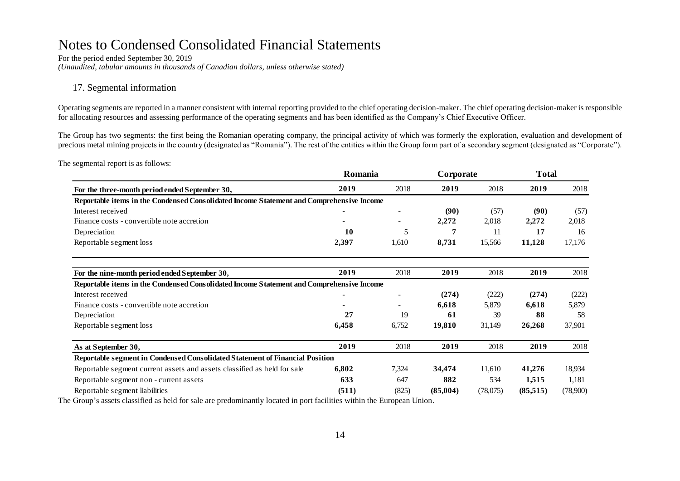For the period ended September 30, 2019 *(Unaudited, tabular amounts in thousands of Canadian dollars, unless otherwise stated)*

## 17. Segmental information

Operating segments are reported in a manner consistent with internal reporting provided to the chief operating decision-maker. The chief operating decision-maker is responsible for allocating resources and assessing performance of the operating segments and has been identified as the Company's Chief Executive Officer.

The Group has two segments: the first being the Romanian operating company, the principal activity of which was formerly the exploration, evaluation and development of precious metal mining projects in the country (designated as "Romania"). The rest of the entities within the Group form part of a secondary segment (designated as "Corporate").

The segmental report is as follows:

| For the three-month period ended September 30,                                           | Romania |       | Corporate |          | <b>Total</b> |          |
|------------------------------------------------------------------------------------------|---------|-------|-----------|----------|--------------|----------|
|                                                                                          | 2019    | 2018  | 2019      | 2018     | 2019         | 2018     |
| Reportable items in the Condensed Consolidated Income Statement and Comprehensive Income |         |       |           |          |              |          |
| Interest received                                                                        |         |       | (90)      | (57)     | (90)         | (57)     |
| Finance costs - convertible note accretion                                               |         |       | 2,272     | 2,018    | 2,272        | 2,018    |
| Depreciation                                                                             | 10      | 5     |           | 11       | 17           | 16       |
| Reportable segment loss                                                                  | 2,397   | 1,610 | 8,731     | 15,566   | 11,128       | 17,176   |
| For the nine-month period ended September 30,                                            | 2019    | 2018  | 2019      | 2018     | 2019         | 2018     |
| Reportable items in the Condensed Consolidated Income Statement and Comprehensive Income |         |       |           |          |              |          |
| Interest received                                                                        |         |       | (274)     | (222)    | (274)        | (222)    |
| Finance costs - convertible note accretion                                               |         |       | 6,618     | 5,879    | 6,618        | 5,879    |
| Depreciation                                                                             | 27      | 19    | 61        | 39       | 88           | 58       |
| Reportable segment loss                                                                  | 6,458   | 6,752 | 19,810    | 31,149   | 26,268       | 37,901   |
| As at September 30,                                                                      | 2019    | 2018  | 2019      | 2018     | 2019         | 2018     |
| Reportable segment in Condensed Consolidated Statement of Financial Position             |         |       |           |          |              |          |
| Reportable segment current assets and assets classified as held for sale                 | 6,802   | 7,324 | 34,474    | 11,610   | 41,276       | 18,934   |
| Reportable segment non - current assets                                                  | 633     | 647   | 882       | 534      | 1,515        | 1,181    |
| Reportable segment liabilities                                                           | (511)   | (825) | (85,004)  | (78,075) | (85,515)     | (78,900) |

The Group's assets classified as held for sale are predominantly located in port facilities within the European Union.